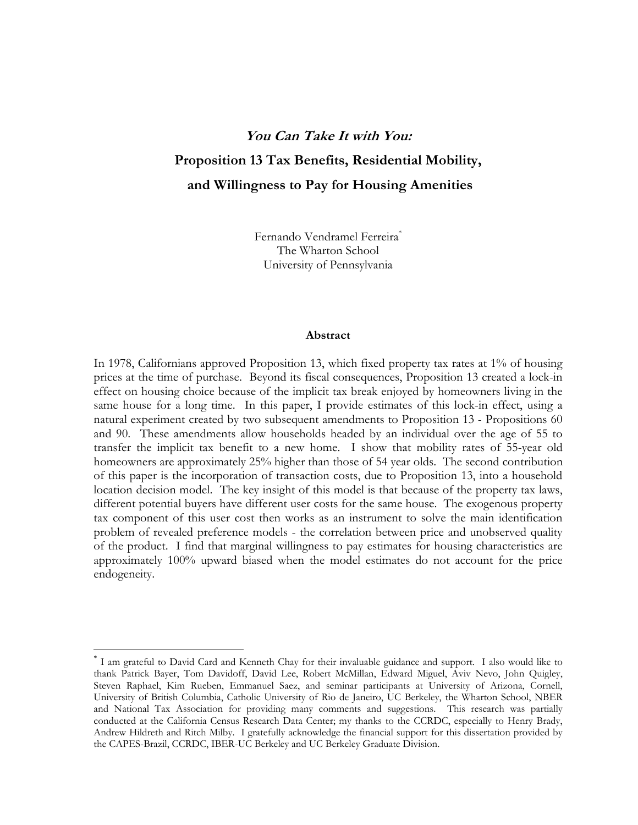# **You Can Take It with You: Proposition 13 Tax Benefits, Residential Mobility, and Willingness to Pay for Housing Amenities**

Fernando Vendramel Ferreira<sup>\*</sup> The Wharton School University of Pennsylvania

#### **Abstract**

In 1978, Californians approved Proposition 13, which fixed property tax rates at 1% of housing prices at the time of purchase. Beyond its fiscal consequences, Proposition 13 created a lock-in effect on housing choice because of the implicit tax break enjoyed by homeowners living in the same house for a long time. In this paper, I provide estimates of this lock-in effect, using a natural experiment created by two subsequent amendments to Proposition 13 - Propositions 60 and 90. These amendments allow households headed by an individual over the age of 55 to transfer the implicit tax benefit to a new home. I show that mobility rates of 55-year old homeowners are approximately 25% higher than those of 54 year olds. The second contribution of this paper is the incorporation of transaction costs, due to Proposition 13, into a household location decision model. The key insight of this model is that because of the property tax laws, different potential buyers have different user costs for the same house. The exogenous property tax component of this user cost then works as an instrument to solve the main identification problem of revealed preference models - the correlation between price and unobserved quality of the product. I find that marginal willingness to pay estimates for housing characteristics are approximately 100% upward biased when the model estimates do not account for the price endogeneity.

-

<sup>\*</sup> I am grateful to David Card and Kenneth Chay for their invaluable guidance and support. I also would like to thank Patrick Bayer, Tom Davidoff, David Lee, Robert McMillan, Edward Miguel, Aviv Nevo, John Quigley, Steven Raphael, Kim Rueben, Emmanuel Saez, and seminar participants at University of Arizona, Cornell, University of British Columbia, Catholic University of Rio de Janeiro, UC Berkeley, the Wharton School, NBER and National Tax Association for providing many comments and suggestions. This research was partially conducted at the California Census Research Data Center; my thanks to the CCRDC, especially to Henry Brady, Andrew Hildreth and Ritch Milby. I gratefully acknowledge the financial support for this dissertation provided by the CAPES-Brazil, CCRDC, IBER-UC Berkeley and UC Berkeley Graduate Division.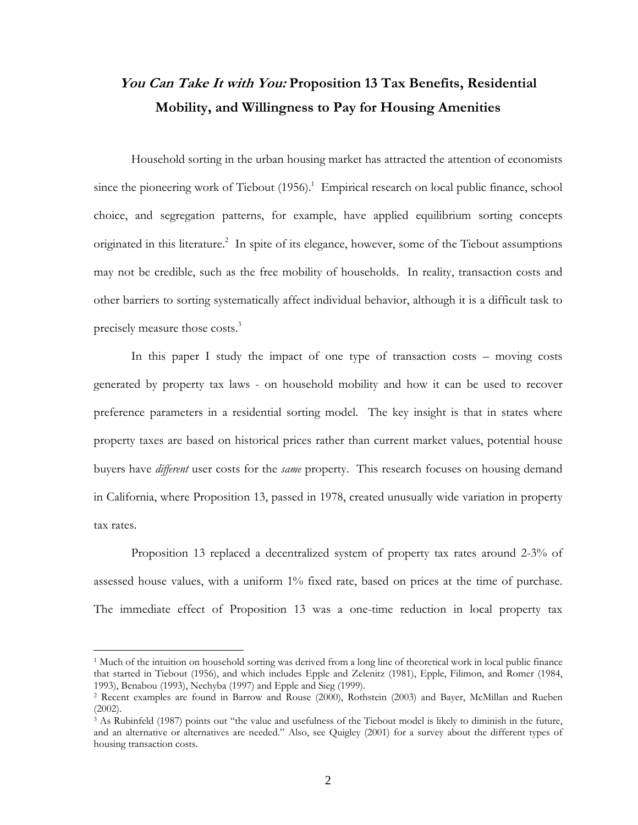## **You Can Take It with You: Proposition 13 Tax Benefits, Residential Mobility, and Willingness to Pay for Housing Amenities**

Household sorting in the urban housing market has attracted the attention of economists since the pioneering work of Tiebout  $(1956)$ .<sup>1</sup> Empirical research on local public finance, school choice, and segregation patterns, for example, have applied equilibrium sorting concepts originated in this literature.<sup>2</sup> In spite of its elegance, however, some of the Tiebout assumptions may not be credible, such as the free mobility of households. In reality, transaction costs and other barriers to sorting systematically affect individual behavior, although it is a difficult task to precisely measure those costs.3

In this paper I study the impact of one type of transaction costs – moving costs generated by property tax laws - on household mobility and how it can be used to recover preference parameters in a residential sorting model. The key insight is that in states where property taxes are based on historical prices rather than current market values, potential house buyers have *different* user costs for the *same* property. This research focuses on housing demand in California, where Proposition 13, passed in 1978, created unusually wide variation in property tax rates.

Proposition 13 replaced a decentralized system of property tax rates around 2-3% of assessed house values, with a uniform 1% fixed rate, based on prices at the time of purchase. The immediate effect of Proposition 13 was a one-time reduction in local property tax

1

<sup>&</sup>lt;sup>1</sup> Much of the intuition on household sorting was derived from a long line of theoretical work in local public finance that started in Tiebout (1956), and which includes Epple and Zelenitz (1981), Epple, Filimon, and Romer (1984, 1993), Benabou (1993), Nechyba (1997) and Epple and Sieg (1999). 2 Recent examples are found in Barrow and Rouse (2000), Rothstein (2003) and Bayer, McMillan and Rueben

<sup>(2002).</sup> 

<sup>&</sup>lt;sup>3</sup> As Rubinfeld (1987) points out "the value and usefulness of the Tiebout model is likely to diminish in the future, and an alternative or alternatives are needed." Also, see Quigley (2001) for a survey about the different types of housing transaction costs.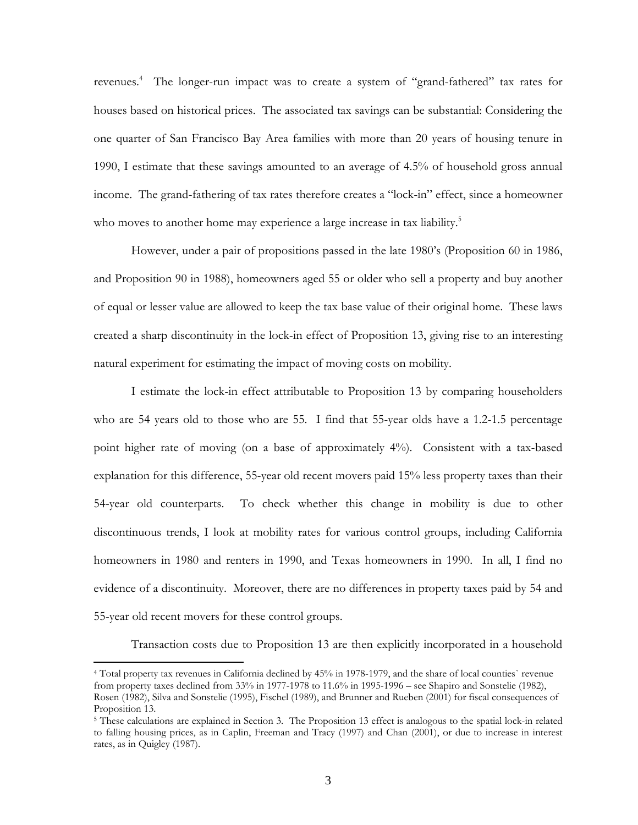revenues.<sup>4</sup> The longer-run impact was to create a system of "grand-fathered" tax rates for houses based on historical prices. The associated tax savings can be substantial: Considering the one quarter of San Francisco Bay Area families with more than 20 years of housing tenure in 1990, I estimate that these savings amounted to an average of 4.5% of household gross annual income. The grand-fathering of tax rates therefore creates a "lock-in" effect, since a homeowner who moves to another home may experience a large increase in tax liability.<sup>5</sup>

However, under a pair of propositions passed in the late 1980's (Proposition 60 in 1986, and Proposition 90 in 1988), homeowners aged 55 or older who sell a property and buy another of equal or lesser value are allowed to keep the tax base value of their original home. These laws created a sharp discontinuity in the lock-in effect of Proposition 13, giving rise to an interesting natural experiment for estimating the impact of moving costs on mobility.

I estimate the lock-in effect attributable to Proposition 13 by comparing householders who are 54 years old to those who are 55. I find that 55-year olds have a 1.2-1.5 percentage point higher rate of moving (on a base of approximately 4%). Consistent with a tax-based explanation for this difference, 55-year old recent movers paid 15% less property taxes than their 54-year old counterparts. To check whether this change in mobility is due to other discontinuous trends, I look at mobility rates for various control groups, including California homeowners in 1980 and renters in 1990, and Texas homeowners in 1990. In all, I find no evidence of a discontinuity. Moreover, there are no differences in property taxes paid by 54 and 55-year old recent movers for these control groups.

Transaction costs due to Proposition 13 are then explicitly incorporated in a household

-

<sup>4</sup> Total property tax revenues in California declined by 45% in 1978-1979, and the share of local counties` revenue from property taxes declined from 33% in 1977-1978 to 11.6% in 1995-1996 – see Shapiro and Sonstelie (1982), Rosen (1982), Silva and Sonstelie (1995), Fischel (1989), and Brunner and Rueben (2001) for fiscal consequences of Proposition 13.

<sup>&</sup>lt;sup>5</sup> These calculations are explained in Section 3. The Proposition 13 effect is analogous to the spatial lock-in related to falling housing prices, as in Caplin, Freeman and Tracy (1997) and Chan (2001), or due to increase in interest rates, as in Quigley (1987).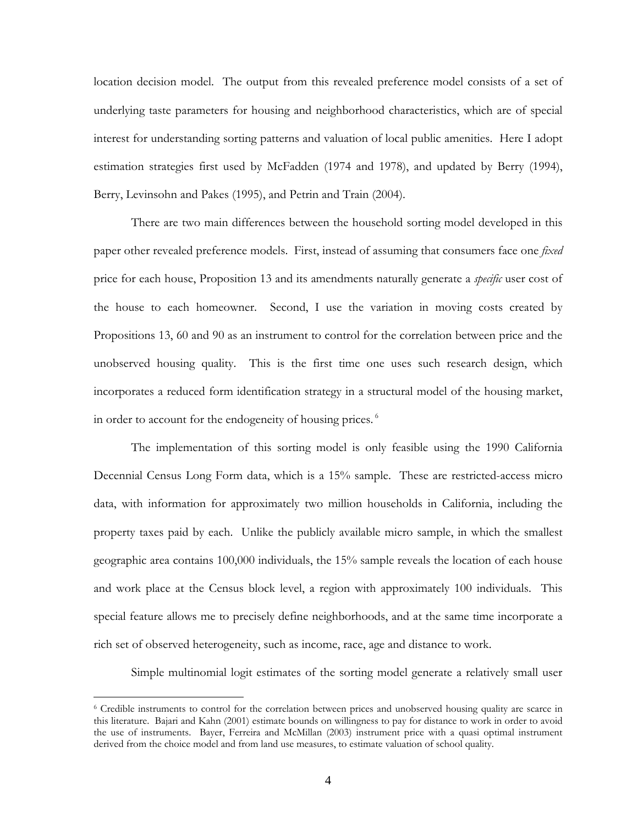location decision model. The output from this revealed preference model consists of a set of underlying taste parameters for housing and neighborhood characteristics, which are of special interest for understanding sorting patterns and valuation of local public amenities. Here I adopt estimation strategies first used by McFadden (1974 and 1978), and updated by Berry (1994), Berry, Levinsohn and Pakes (1995), and Petrin and Train (2004).

There are two main differences between the household sorting model developed in this paper other revealed preference models. First, instead of assuming that consumers face one *fixed* price for each house, Proposition 13 and its amendments naturally generate a *specific* user cost of the house to each homeowner. Second, I use the variation in moving costs created by Propositions 13, 60 and 90 as an instrument to control for the correlation between price and the unobserved housing quality. This is the first time one uses such research design, which incorporates a reduced form identification strategy in a structural model of the housing market, in order to account for the endogeneity of housing prices. 6

The implementation of this sorting model is only feasible using the 1990 California Decennial Census Long Form data, which is a 15% sample. These are restricted-access micro data, with information for approximately two million households in California, including the property taxes paid by each. Unlike the publicly available micro sample, in which the smallest geographic area contains 100,000 individuals, the 15% sample reveals the location of each house and work place at the Census block level, a region with approximately 100 individuals. This special feature allows me to precisely define neighborhoods, and at the same time incorporate a rich set of observed heterogeneity, such as income, race, age and distance to work.

Simple multinomial logit estimates of the sorting model generate a relatively small user

1

<sup>6</sup> Credible instruments to control for the correlation between prices and unobserved housing quality are scarce in this literature. Bajari and Kahn (2001) estimate bounds on willingness to pay for distance to work in order to avoid the use of instruments. Bayer, Ferreira and McMillan (2003) instrument price with a quasi optimal instrument derived from the choice model and from land use measures, to estimate valuation of school quality.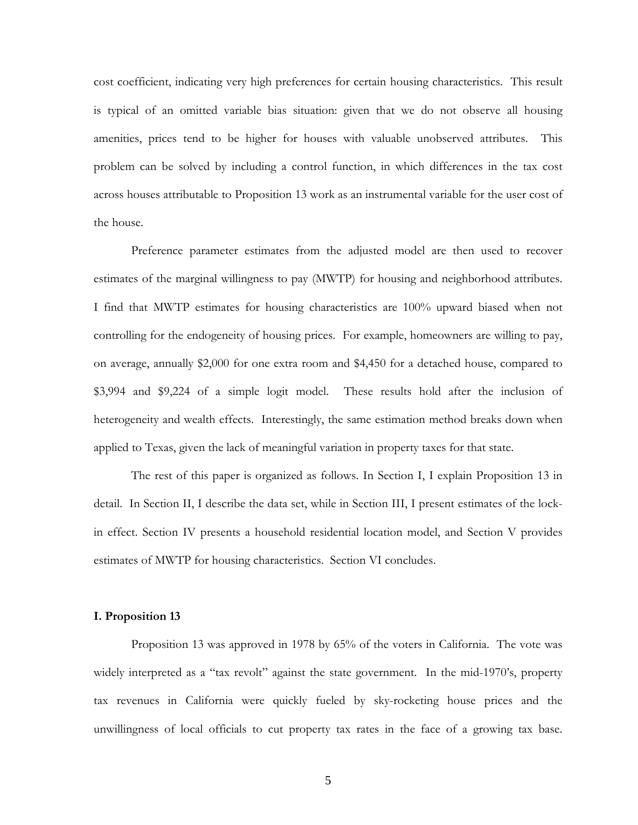cost coefficient, indicating very high preferences for certain housing characteristics. This result is typical of an omitted variable bias situation: given that we do not observe all housing amenities, prices tend to be higher for houses with valuable unobserved attributes. This problem can be solved by including a control function, in which differences in the tax cost across houses attributable to Proposition 13 work as an instrumental variable for the user cost of the house.

Preference parameter estimates from the adjusted model are then used to recover estimates of the marginal willingness to pay (MWTP) for housing and neighborhood attributes. I find that MWTP estimates for housing characteristics are 100% upward biased when not controlling for the endogeneity of housing prices. For example, homeowners are willing to pay, on average, annually \$2,000 for one extra room and \$4,450 for a detached house, compared to \$3,994 and \$9,224 of a simple logit model. These results hold after the inclusion of heterogeneity and wealth effects. Interestingly, the same estimation method breaks down when applied to Texas, given the lack of meaningful variation in property taxes for that state.

The rest of this paper is organized as follows. In Section I, I explain Proposition 13 in detail. In Section II, I describe the data set, while in Section III, I present estimates of the lockin effect. Section IV presents a household residential location model, and Section V provides estimates of MWTP for housing characteristics. Section VI concludes.

#### **I. Proposition 13**

Proposition 13 was approved in 1978 by 65% of the voters in California. The vote was widely interpreted as a "tax revolt" against the state government. In the mid-1970's, property tax revenues in California were quickly fueled by sky-rocketing house prices and the unwillingness of local officials to cut property tax rates in the face of a growing tax base.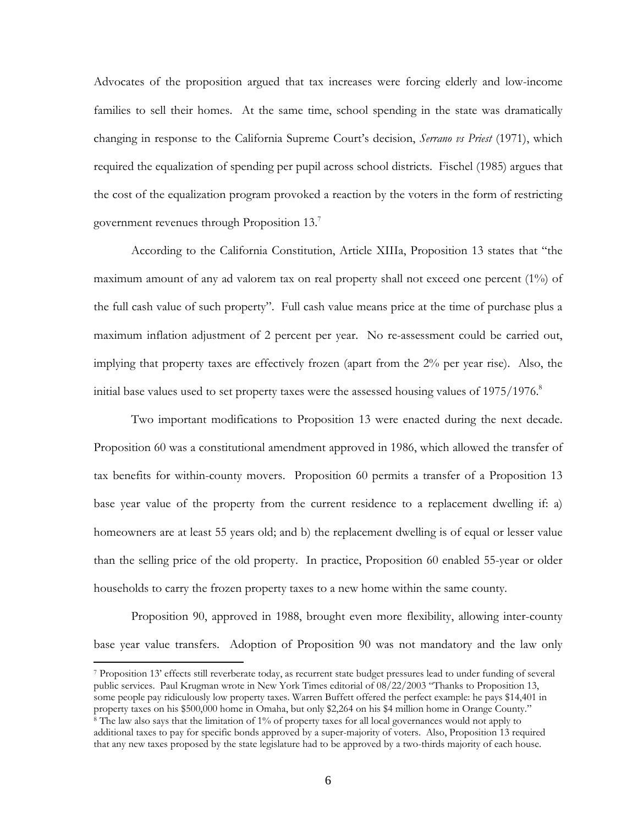Advocates of the proposition argued that tax increases were forcing elderly and low-income families to sell their homes. At the same time, school spending in the state was dramatically changing in response to the California Supreme Court's decision, *Serrano vs Priest* (1971), which required the equalization of spending per pupil across school districts. Fischel (1985) argues that the cost of the equalization program provoked a reaction by the voters in the form of restricting government revenues through Proposition  $13<sup>7</sup>$ 

According to the California Constitution, Article XIIIa, Proposition 13 states that "the maximum amount of any ad valorem tax on real property shall not exceed one percent (1%) of the full cash value of such property". Full cash value means price at the time of purchase plus a maximum inflation adjustment of 2 percent per year. No re-assessment could be carried out, implying that property taxes are effectively frozen (apart from the 2% per year rise). Also, the initial base values used to set property taxes were the assessed housing values of  $1975/1976$ .<sup>8</sup>

Two important modifications to Proposition 13 were enacted during the next decade. Proposition 60 was a constitutional amendment approved in 1986, which allowed the transfer of tax benefits for within-county movers. Proposition 60 permits a transfer of a Proposition 13 base year value of the property from the current residence to a replacement dwelling if: a) homeowners are at least 55 years old; and b) the replacement dwelling is of equal or lesser value than the selling price of the old property. In practice, Proposition 60 enabled 55-year or older households to carry the frozen property taxes to a new home within the same county.

Proposition 90, approved in 1988, brought even more flexibility, allowing inter-county base year value transfers. Adoption of Proposition 90 was not mandatory and the law only

-

<sup>7</sup> Proposition 13' effects still reverberate today, as recurrent state budget pressures lead to under funding of several public services. Paul Krugman wrote in New York Times editorial of 08/22/2003 "Thanks to Proposition 13, some people pay ridiculously low property taxes. Warren Buffett offered the perfect example: he pays \$14,401 in property taxes on his \$500,000 home in Omaha, but only \$2,264 on his \$4 million home in Orange County." 8 The law also says that the limitation of 1% of property taxes for all local governances would not apply to additional taxes to pay for specific bonds approved by a super-majority of voters. Also, Proposition 13 required

that any new taxes proposed by the state legislature had to be approved by a two-thirds majority of each house.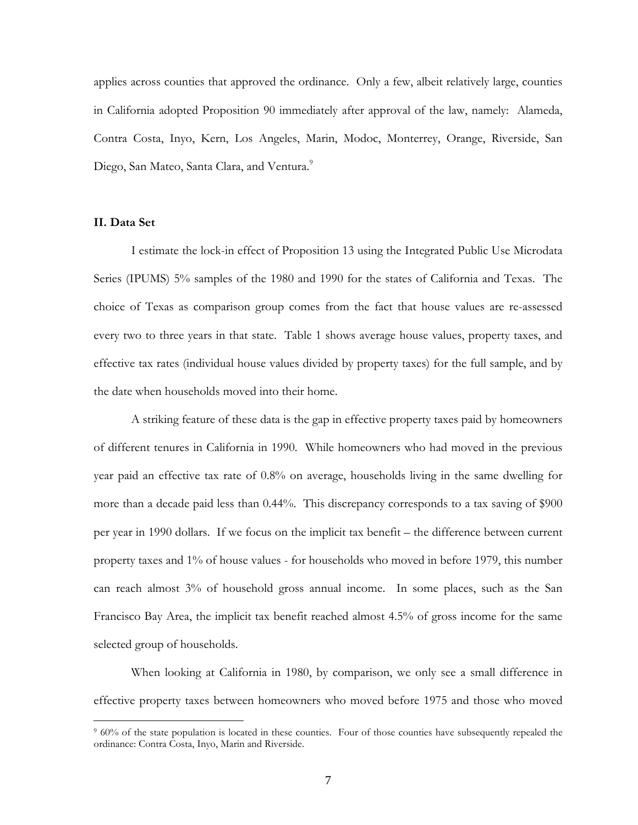applies across counties that approved the ordinance. Only a few, albeit relatively large, counties in California adopted Proposition 90 immediately after approval of the law, namely: Alameda, Contra Costa, Inyo, Kern, Los Angeles, Marin, Modoc, Monterrey, Orange, Riverside, San Diego, San Mateo, Santa Clara, and Ventura.<sup>9</sup>

## **II. Data Set**

1

I estimate the lock-in effect of Proposition 13 using the Integrated Public Use Microdata Series (IPUMS) 5% samples of the 1980 and 1990 for the states of California and Texas. The choice of Texas as comparison group comes from the fact that house values are re-assessed every two to three years in that state. Table 1 shows average house values, property taxes, and effective tax rates (individual house values divided by property taxes) for the full sample, and by the date when households moved into their home.

A striking feature of these data is the gap in effective property taxes paid by homeowners of different tenures in California in 1990. While homeowners who had moved in the previous year paid an effective tax rate of 0.8% on average, households living in the same dwelling for more than a decade paid less than 0.44%. This discrepancy corresponds to a tax saving of \$900 per year in 1990 dollars. If we focus on the implicit tax benefit – the difference between current property taxes and 1% of house values - for households who moved in before 1979, this number can reach almost 3% of household gross annual income. In some places, such as the San Francisco Bay Area, the implicit tax benefit reached almost 4.5% of gross income for the same selected group of households.

When looking at California in 1980, by comparison, we only see a small difference in effective property taxes between homeowners who moved before 1975 and those who moved

<sup>&</sup>lt;sup>9</sup> 60% of the state population is located in these counties. Four of those counties have subsequently repealed the ordinance: Contra Costa, Inyo, Marin and Riverside.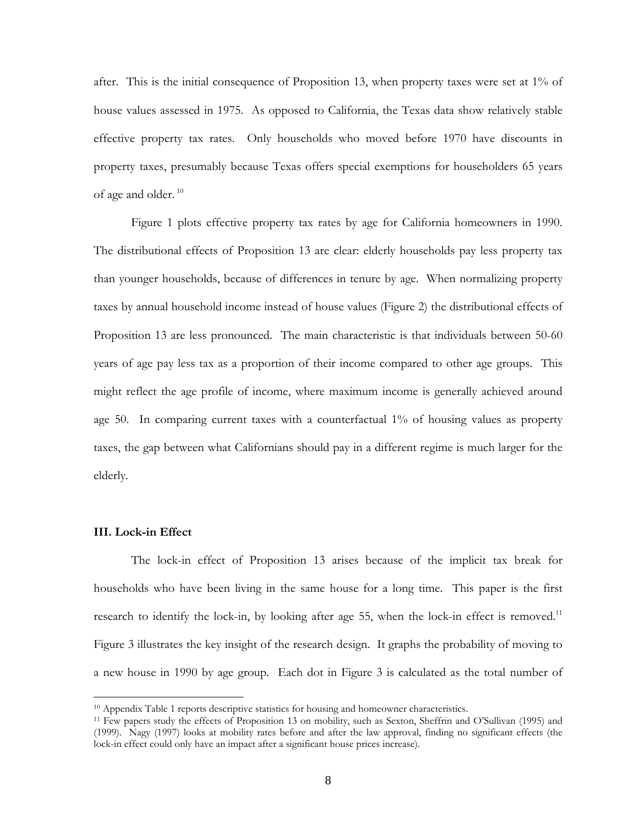after. This is the initial consequence of Proposition 13, when property taxes were set at  $1\%$  of house values assessed in 1975. As opposed to California, the Texas data show relatively stable effective property tax rates. Only households who moved before 1970 have discounts in property taxes, presumably because Texas offers special exemptions for householders 65 years of age and older.<sup>10</sup>

Figure 1 plots effective property tax rates by age for California homeowners in 1990. The distributional effects of Proposition 13 are clear: elderly households pay less property tax than younger households, because of differences in tenure by age. When normalizing property taxes by annual household income instead of house values (Figure 2) the distributional effects of Proposition 13 are less pronounced. The main characteristic is that individuals between 50-60 years of age pay less tax as a proportion of their income compared to other age groups. This might reflect the age profile of income, where maximum income is generally achieved around age 50. In comparing current taxes with a counterfactual 1% of housing values as property taxes, the gap between what Californians should pay in a different regime is much larger for the elderly.

## **III. Lock-in Effect**

1

The lock-in effect of Proposition 13 arises because of the implicit tax break for households who have been living in the same house for a long time. This paper is the first research to identify the lock-in, by looking after age 55, when the lock-in effect is removed.<sup>11</sup> Figure 3 illustrates the key insight of the research design. It graphs the probability of moving to a new house in 1990 by age group. Each dot in Figure 3 is calculated as the total number of

<sup>&</sup>lt;sup>10</sup> Appendix Table 1 reports descriptive statistics for housing and homeowner characteristics.

<sup>11</sup> Few papers study the effects of Proposition 13 on mobility, such as Sexton, Sheffrin and O'Sullivan (1995) and (1999). Nagy (1997) looks at mobility rates before and after the law approval, finding no significant effects (the lock-in effect could only have an impact after a significant house prices increase).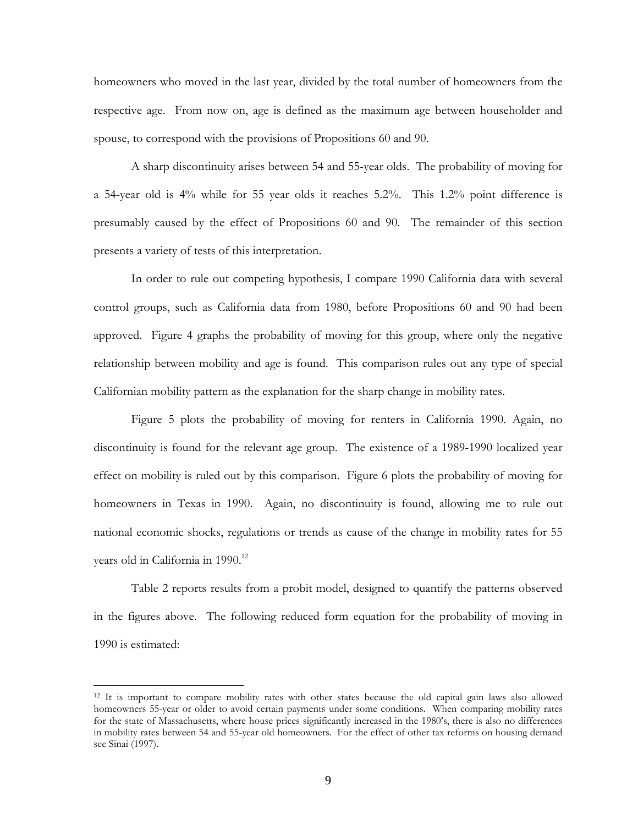homeowners who moved in the last year, divided by the total number of homeowners from the respective age. From now on, age is defined as the maximum age between householder and spouse, to correspond with the provisions of Propositions 60 and 90.

A sharp discontinuity arises between 54 and 55-year olds. The probability of moving for a 54-year old is 4% while for 55 year olds it reaches 5.2%. This 1.2% point difference is presumably caused by the effect of Propositions 60 and 90. The remainder of this section presents a variety of tests of this interpretation.

In order to rule out competing hypothesis, I compare 1990 California data with several control groups, such as California data from 1980, before Propositions 60 and 90 had been approved. Figure 4 graphs the probability of moving for this group, where only the negative relationship between mobility and age is found. This comparison rules out any type of special Californian mobility pattern as the explanation for the sharp change in mobility rates.

Figure 5 plots the probability of moving for renters in California 1990. Again, no discontinuity is found for the relevant age group. The existence of a 1989-1990 localized year effect on mobility is ruled out by this comparison. Figure 6 plots the probability of moving for homeowners in Texas in 1990. Again, no discontinuity is found, allowing me to rule out national economic shocks, regulations or trends as cause of the change in mobility rates for 55 years old in California in 1990.<sup>12</sup>

Table 2 reports results from a probit model, designed to quantify the patterns observed in the figures above. The following reduced form equation for the probability of moving in 1990 is estimated:

-

<sup>12</sup> It is important to compare mobility rates with other states because the old capital gain laws also allowed homeowners 55-year or older to avoid certain payments under some conditions. When comparing mobility rates for the state of Massachusetts, where house prices significantly increased in the 1980's, there is also no differences in mobility rates between 54 and 55-year old homeowners. For the effect of other tax reforms on housing demand see Sinai (1997).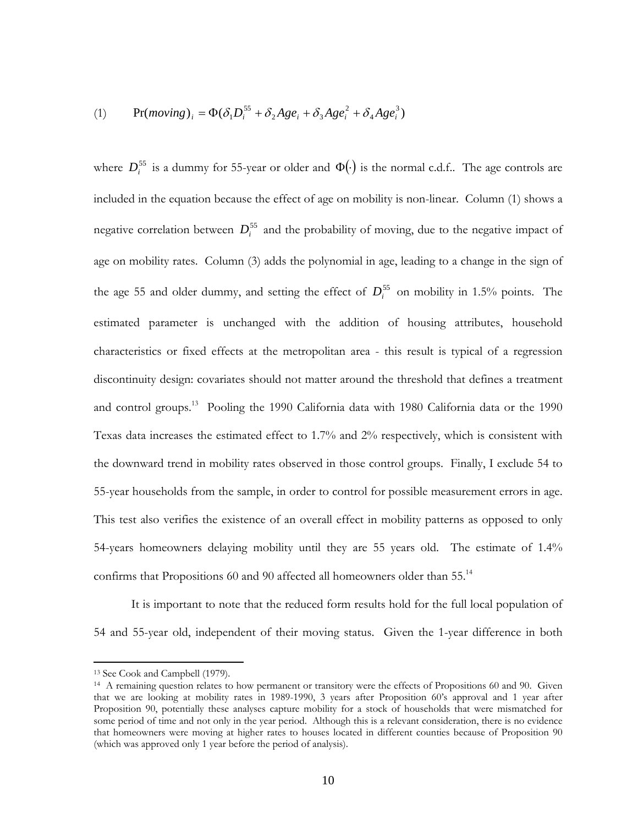(1) 
$$
\Pr(moving)_i = \Phi(\delta_1 D_i^{55} + \delta_2 Age_i + \delta_3 Age_i^2 + \delta_4 Age_i^3)
$$

where  $D_i^{55}$  is a dummy for 55-year or older and  $\Phi(\cdot)$  is the normal c.d.f.. The age controls are included in the equation because the effect of age on mobility is non-linear. Column (1) shows a negative correlation between  $D_i^{55}$  and the probability of moving, due to the negative impact of age on mobility rates. Column (3) adds the polynomial in age, leading to a change in the sign of the age 55 and older dummy, and setting the effect of  $D_i^{55}$  on mobility in 1.5% points. The estimated parameter is unchanged with the addition of housing attributes, household characteristics or fixed effects at the metropolitan area - this result is typical of a regression discontinuity design: covariates should not matter around the threshold that defines a treatment and control groups.<sup>13</sup> Pooling the 1990 California data with 1980 California data or the 1990 Texas data increases the estimated effect to 1.7% and 2% respectively, which is consistent with the downward trend in mobility rates observed in those control groups. Finally, I exclude 54 to 55-year households from the sample, in order to control for possible measurement errors in age. This test also verifies the existence of an overall effect in mobility patterns as opposed to only 54-years homeowners delaying mobility until they are 55 years old. The estimate of 1.4% confirms that Propositions 60 and 90 affected all homeowners older than 55.<sup>14</sup>

It is important to note that the reduced form results hold for the full local population of 54 and 55-year old, independent of their moving status. Given the 1-year difference in both

-

<sup>13</sup> See Cook and Campbell (1979).

<sup>&</sup>lt;sup>14</sup> A remaining question relates to how permanent or transitory were the effects of Propositions 60 and 90. Given that we are looking at mobility rates in 1989-1990, 3 years after Proposition 60's approval and 1 year after Proposition 90, potentially these analyses capture mobility for a stock of households that were mismatched for some period of time and not only in the year period. Although this is a relevant consideration, there is no evidence that homeowners were moving at higher rates to houses located in different counties because of Proposition 90 (which was approved only 1 year before the period of analysis).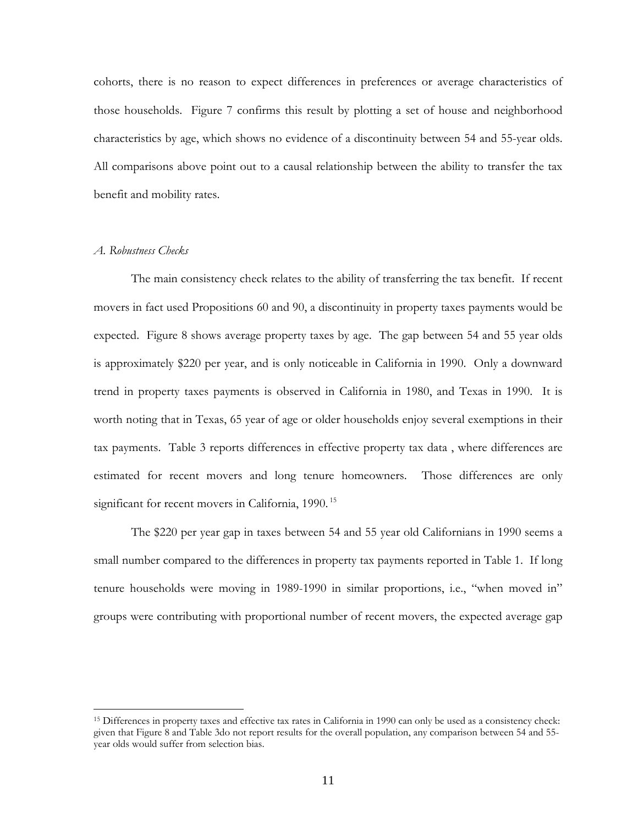cohorts, there is no reason to expect differences in preferences or average characteristics of those households. Figure 7 confirms this result by plotting a set of house and neighborhood characteristics by age, which shows no evidence of a discontinuity between 54 and 55-year olds. All comparisons above point out to a causal relationship between the ability to transfer the tax benefit and mobility rates.

#### *A. Robustness Checks*

-

The main consistency check relates to the ability of transferring the tax benefit. If recent movers in fact used Propositions 60 and 90, a discontinuity in property taxes payments would be expected. Figure 8 shows average property taxes by age. The gap between 54 and 55 year olds is approximately \$220 per year, and is only noticeable in California in 1990. Only a downward trend in property taxes payments is observed in California in 1980, and Texas in 1990. It is worth noting that in Texas, 65 year of age or older households enjoy several exemptions in their tax payments. Table 3 reports differences in effective property tax data , where differences are estimated for recent movers and long tenure homeowners. Those differences are only significant for recent movers in California, 1990.<sup>15</sup>

The \$220 per year gap in taxes between 54 and 55 year old Californians in 1990 seems a small number compared to the differences in property tax payments reported in Table 1. If long tenure households were moving in 1989-1990 in similar proportions, i.e., "when moved in" groups were contributing with proportional number of recent movers, the expected average gap

<sup>15</sup> Differences in property taxes and effective tax rates in California in 1990 can only be used as a consistency check: given that Figure 8 and Table 3do not report results for the overall population, any comparison between 54 and 55 year olds would suffer from selection bias.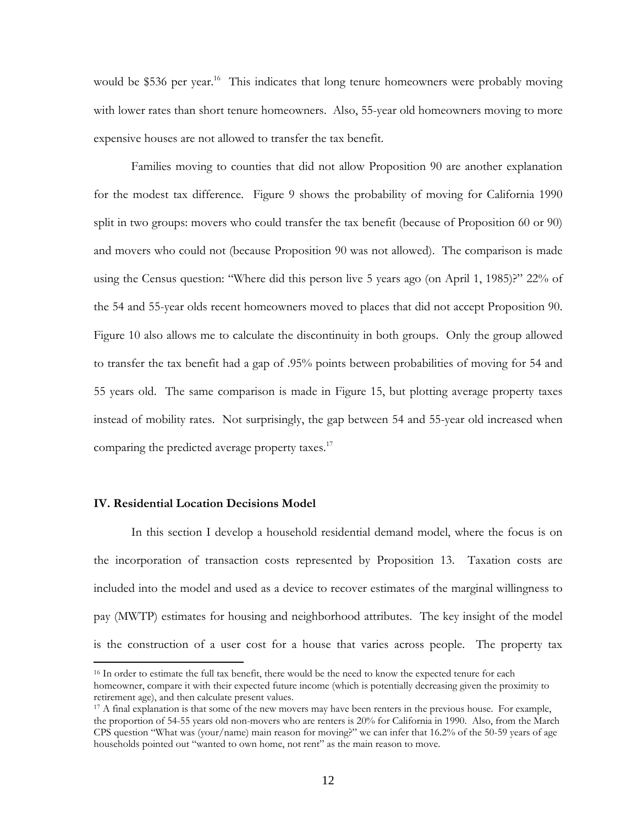would be \$536 per year.<sup>16</sup> This indicates that long tenure homeowners were probably moving with lower rates than short tenure homeowners. Also, 55-year old homeowners moving to more expensive houses are not allowed to transfer the tax benefit.

Families moving to counties that did not allow Proposition 90 are another explanation for the modest tax difference. Figure 9 shows the probability of moving for California 1990 split in two groups: movers who could transfer the tax benefit (because of Proposition 60 or 90) and movers who could not (because Proposition 90 was not allowed). The comparison is made using the Census question: "Where did this person live 5 years ago (on April 1, 1985)?" 22% of the 54 and 55-year olds recent homeowners moved to places that did not accept Proposition 90. Figure 10 also allows me to calculate the discontinuity in both groups. Only the group allowed to transfer the tax benefit had a gap of .95% points between probabilities of moving for 54 and 55 years old. The same comparison is made in Figure 15, but plotting average property taxes instead of mobility rates. Not surprisingly, the gap between 54 and 55-year old increased when comparing the predicted average property taxes. $17$ 

## **IV. Residential Location Decisions Model**

-

In this section I develop a household residential demand model, where the focus is on the incorporation of transaction costs represented by Proposition 13. Taxation costs are included into the model and used as a device to recover estimates of the marginal willingness to pay (MWTP) estimates for housing and neighborhood attributes. The key insight of the model is the construction of a user cost for a house that varies across people. The property tax

<sup>&</sup>lt;sup>16</sup> In order to estimate the full tax benefit, there would be the need to know the expected tenure for each homeowner, compare it with their expected future income (which is potentially decreasing given the proximity to retirement age), and then calculate present values.

<sup>&</sup>lt;sup>17</sup> A final explanation is that some of the new movers may have been renters in the previous house. For example, the proportion of 54-55 years old non-movers who are renters is 20% for California in 1990. Also, from the March CPS question "What was (your/name) main reason for moving?" we can infer that 16.2% of the 50-59 years of age households pointed out "wanted to own home, not rent" as the main reason to move.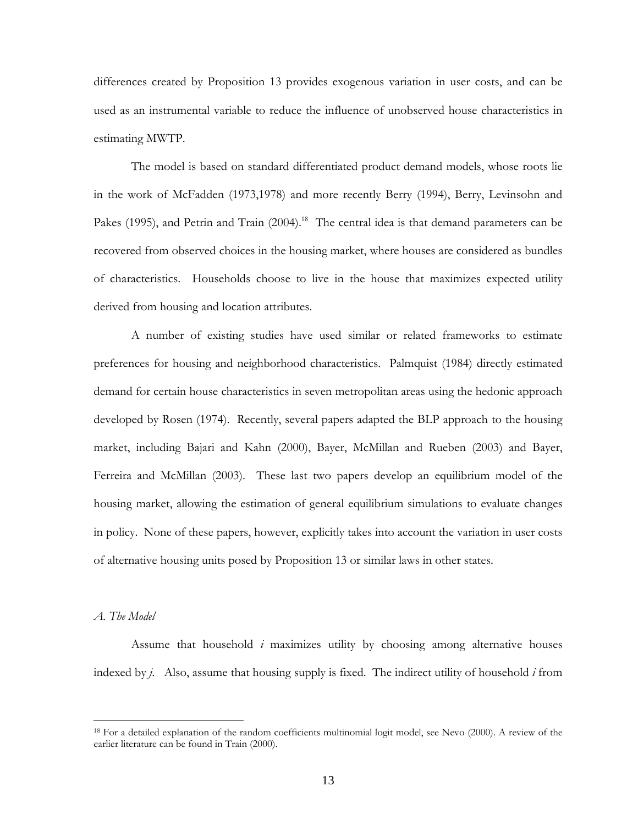differences created by Proposition 13 provides exogenous variation in user costs, and can be used as an instrumental variable to reduce the influence of unobserved house characteristics in estimating MWTP.

The model is based on standard differentiated product demand models, whose roots lie in the work of McFadden (1973,1978) and more recently Berry (1994), Berry, Levinsohn and Pakes (1995), and Petrin and Train (2004).<sup>18</sup> The central idea is that demand parameters can be recovered from observed choices in the housing market, where houses are considered as bundles of characteristics. Households choose to live in the house that maximizes expected utility derived from housing and location attributes.

A number of existing studies have used similar or related frameworks to estimate preferences for housing and neighborhood characteristics. Palmquist (1984) directly estimated demand for certain house characteristics in seven metropolitan areas using the hedonic approach developed by Rosen (1974). Recently, several papers adapted the BLP approach to the housing market, including Bajari and Kahn (2000), Bayer, McMillan and Rueben (2003) and Bayer, Ferreira and McMillan (2003). These last two papers develop an equilibrium model of the housing market, allowing the estimation of general equilibrium simulations to evaluate changes in policy. None of these papers, however, explicitly takes into account the variation in user costs of alternative housing units posed by Proposition 13 or similar laws in other states.

#### *A. The Model*

 $\overline{a}$ 

Assume that household *i* maximizes utility by choosing among alternative houses indexed by *j*. Also, assume that housing supply is fixed. The indirect utility of household *i* from

<sup>&</sup>lt;sup>18</sup> For a detailed explanation of the random coefficients multinomial logit model, see Nevo (2000). A review of the earlier literature can be found in Train (2000).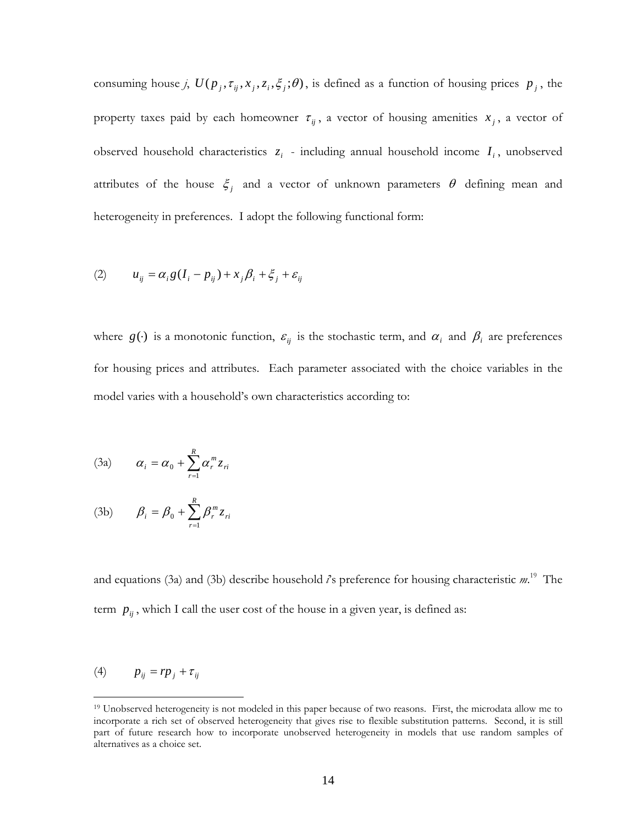consuming house *j*,  $U(p_i, \tau_{ij}, x_i, \zeta_i, \zeta_j; \theta)$ , is defined as a function of housing prices  $p_i$ , the property taxes paid by each homeowner  $\tau_{ij}$ , a vector of housing amenities  $x_i$ , a vector of observed household characteristics  $z_i$  - including annual household income  $I_i$ , unobserved attributes of the house  $\xi_j$  and a vector of unknown parameters  $\theta$  defining mean and heterogeneity in preferences. I adopt the following functional form:

$$
(2) \qquad u_{ij} = \alpha_i g (I_i - p_{ij}) + x_j \beta_i + \xi_j + \varepsilon_{ij}
$$

where  $g(\cdot)$  is a monotonic function,  $\varepsilon_{ij}$  is the stochastic term, and  $\alpha_i$  and  $\beta_i$  are preferences for housing prices and attributes. Each parameter associated with the choice variables in the model varies with a household's own characteristics according to:

(3a) 
$$
\alpha_i = \alpha_0 + \sum_{r=1}^R \alpha_r^m z_{ri}
$$

(3b) 
$$
\beta_i = \beta_0 + \sum_{r=1}^R \beta_r^m z_{ri}
$$

and equations (3a) and (3b) describe household *i*'s preference for housing characteristic *m*. 19 The term  $p_{ij}$ , which I call the user cost of the house in a given year, is defined as:

$$
(4) \t p_{ij} = r p_j + \tau_{ij}
$$

1

<sup>&</sup>lt;sup>19</sup> Unobserved heterogeneity is not modeled in this paper because of two reasons. First, the microdata allow me to incorporate a rich set of observed heterogeneity that gives rise to flexible substitution patterns. Second, it is still part of future research how to incorporate unobserved heterogeneity in models that use random samples of alternatives as a choice set.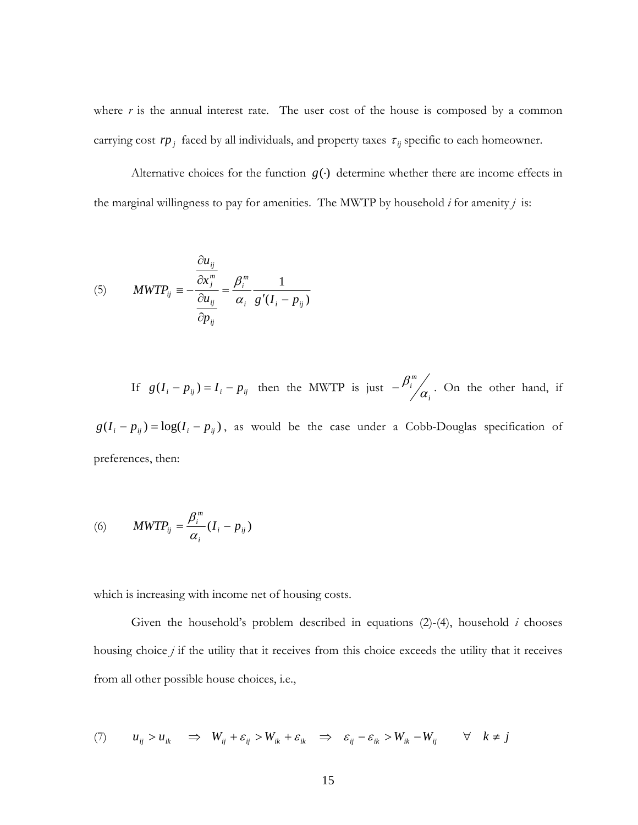where  $r$  is the annual interest rate. The user cost of the house is composed by a common carrying cost  $rp_j$  faced by all individuals, and property taxes  $\tau_{ij}$  specific to each homeowner.

Alternative choices for the function  $g(·)$  determine whether there are income effects in the marginal willingness to pay for amenities. The MWTP by household *i* for amenity *j* is:

(5) 
$$
MWTP_{ij} = -\frac{\frac{\partial u_{ij}}{\partial x_j^m}}{\frac{\partial u_{ij}}{\partial p_{ij}}} = \frac{\beta_i^m}{\alpha_i} \frac{1}{g'(I_i - p_{ij})}
$$

If  $g(I_i - p_{ij}) = I_i - p_{ij}$  then the MWTP is just  $-\frac{p_i}{\alpha_i}$ *m i*  $-\frac{\beta_i^m}{\alpha}$ . On the other hand, if

 $g(I_i - p_{ij}) = \log(I_i - p_{ij})$ , as would be the case under a Cobb-Douglas specification of preferences, then:

(6) 
$$
MWTP_{ij} = \frac{\beta_i^m}{\alpha_i} (I_i - p_{ij})
$$

which is increasing with income net of housing costs.

Given the household's problem described in equations (2)-(4), household *i* chooses housing choice *j* if the utility that it receives from this choice exceeds the utility that it receives from all other possible house choices, i.e.,

(7) 
$$
u_{ij} > u_{ik} \implies W_{ij} + \varepsilon_{ij} > W_{ik} + \varepsilon_{ik} \implies \varepsilon_{ij} - \varepsilon_{ik} > W_{ik} - W_{ij} \qquad \forall \quad k \neq j
$$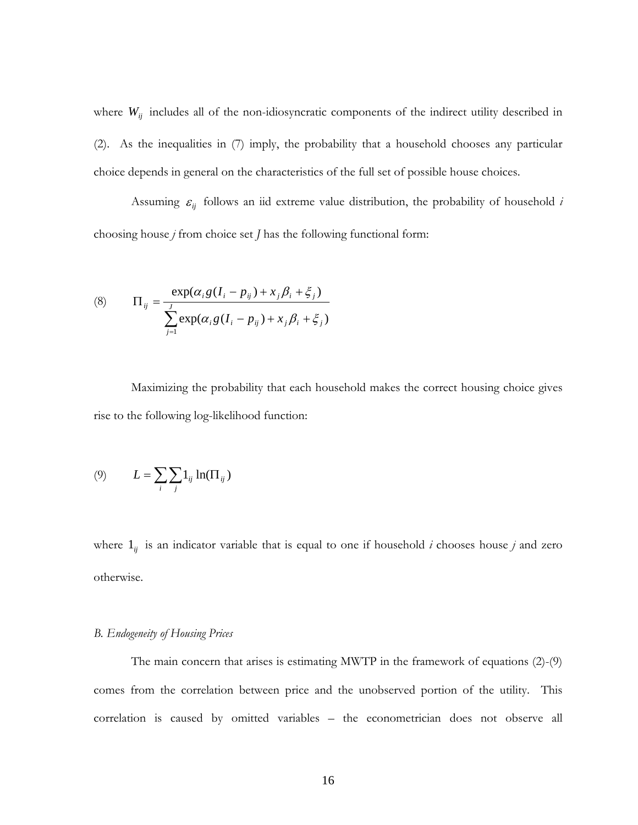where  $W_{ij}$  includes all of the non-idiosyncratic components of the indirect utility described in (2). As the inequalities in (7) imply, the probability that a household chooses any particular choice depends in general on the characteristics of the full set of possible house choices.

Assuming  $\varepsilon_{ij}$  follows an iid extreme value distribution, the probability of household *i* choosing house *j* from choice set *J* has the following functional form:

(8) 
$$
\Pi_{ij} = \frac{\exp(\alpha_i g (I_i - p_{ij}) + x_j \beta_i + \xi_j)}{\sum_{j=1}^{J} \exp(\alpha_i g (I_i - p_{ij}) + x_j \beta_i + \xi_j)}
$$

Maximizing the probability that each household makes the correct housing choice gives rise to the following log-likelihood function:

$$
(9) \qquad L = \sum_{i} \sum_{j} 1_{ij} \ln(\Pi_{ij})
$$

where  $1_{ij}$  is an indicator variable that is equal to one if household *i* chooses house *j* and zero otherwise.

#### *B. Endogeneity of Housing Prices*

The main concern that arises is estimating MWTP in the framework of equations (2)-(9) comes from the correlation between price and the unobserved portion of the utility. This correlation is caused by omitted variables – the econometrician does not observe all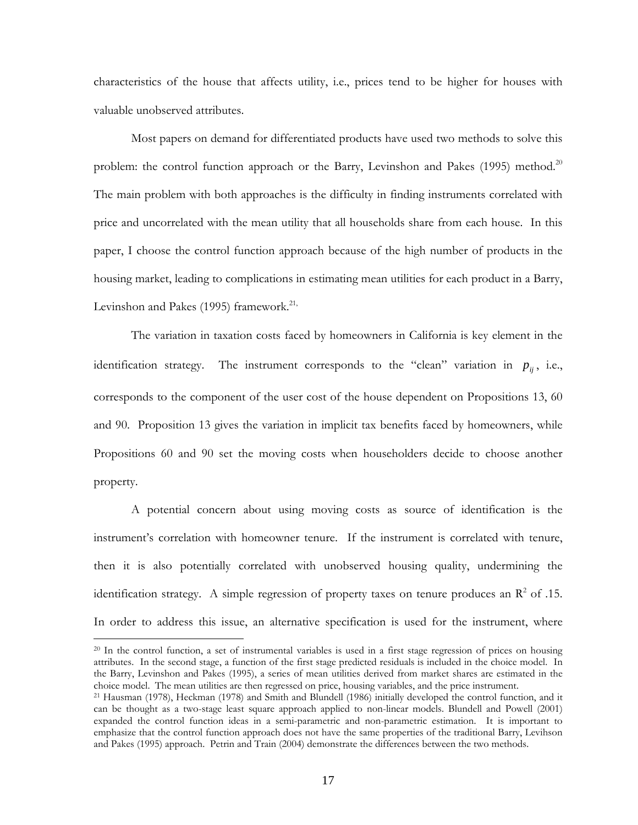characteristics of the house that affects utility, i.e., prices tend to be higher for houses with valuable unobserved attributes.

Most papers on demand for differentiated products have used two methods to solve this problem: the control function approach or the Barry, Levinshon and Pakes  $(1995)$  method.<sup>20</sup> The main problem with both approaches is the difficulty in finding instruments correlated with price and uncorrelated with the mean utility that all households share from each house. In this paper, I choose the control function approach because of the high number of products in the housing market, leading to complications in estimating mean utilities for each product in a Barry, Levinshon and Pakes  $(1995)$  framework.<sup>21,</sup>

The variation in taxation costs faced by homeowners in California is key element in the identification strategy. The instrument corresponds to the "clean" variation in  $p_{ij}$ , i.e., corresponds to the component of the user cost of the house dependent on Propositions 13, 60 and 90. Proposition 13 gives the variation in implicit tax benefits faced by homeowners, while Propositions 60 and 90 set the moving costs when householders decide to choose another property.

A potential concern about using moving costs as source of identification is the instrument's correlation with homeowner tenure. If the instrument is correlated with tenure, then it is also potentially correlated with unobserved housing quality, undermining the identification strategy. A simple regression of property taxes on tenure produces an  $\mathbb{R}^2$  of .15. In order to address this issue, an alternative specification is used for the instrument, where

 $^{20}$  In the control function, a set of instrumental variables is used in a first stage regression of prices on housing attributes. In the second stage, a function of the first stage predicted residuals is included in the choice model. In the Barry, Levinshon and Pakes (1995), a series of mean utilities derived from market shares are estimated in the

choice model. The mean utilities are then regressed on price, housing variables, and the price instrument.<br><sup>21</sup> Hausman (1978), Heckman (1978) and Smith and Blundell (1986) initially developed the control function, and it can be thought as a two-stage least square approach applied to non-linear models. Blundell and Powell (2001) expanded the control function ideas in a semi-parametric and non-parametric estimation. It is important to emphasize that the control function approach does not have the same properties of the traditional Barry, Levihson and Pakes (1995) approach. Petrin and Train (2004) demonstrate the differences between the two methods.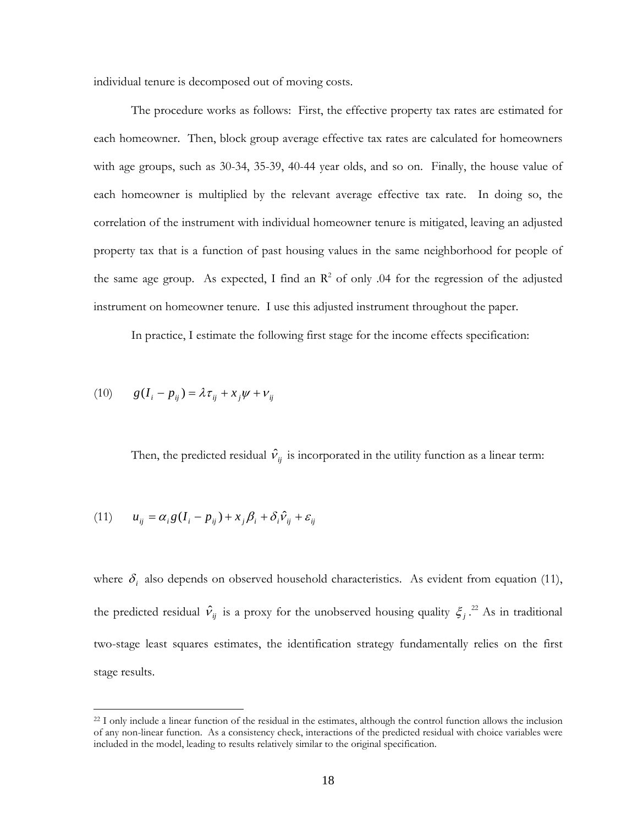individual tenure is decomposed out of moving costs.

The procedure works as follows: First, the effective property tax rates are estimated for each homeowner. Then, block group average effective tax rates are calculated for homeowners with age groups, such as 30-34, 35-39, 40-44 year olds, and so on. Finally, the house value of each homeowner is multiplied by the relevant average effective tax rate. In doing so, the correlation of the instrument with individual homeowner tenure is mitigated, leaving an adjusted property tax that is a function of past housing values in the same neighborhood for people of the same age group. As expected, I find an  $\mathbb{R}^2$  of only 0.04 for the regression of the adjusted instrument on homeowner tenure. I use this adjusted instrument throughout the paper.

In practice, I estimate the following first stage for the income effects specification:

$$
(10) \qquad g(I_i - p_{ij}) = \lambda \tau_{ij} + x_j \psi + \nu_{ij}
$$

Then, the predicted residual  $\hat{v}_{ij}$  is incorporated in the utility function as a linear term:

(11) 
$$
u_{ij} = \alpha_i g (I_i - p_{ij}) + x_j \beta_i + \delta_i \hat{v}_{ij} + \varepsilon_{ij}
$$

where  $\delta_i$  also depends on observed household characteristics. As evident from equation (11), the predicted residual  $\hat{v}_{ij}$  is a proxy for the unobserved housing quality  $\xi_j$ .<sup>22</sup> As in traditional two-stage least squares estimates, the identification strategy fundamentally relies on the first stage results.

 $^{22}$  I only include a linear function of the residual in the estimates, although the control function allows the inclusion of any non-linear function. As a consistency check, interactions of the predicted residual with choice variables were included in the model, leading to results relatively similar to the original specification.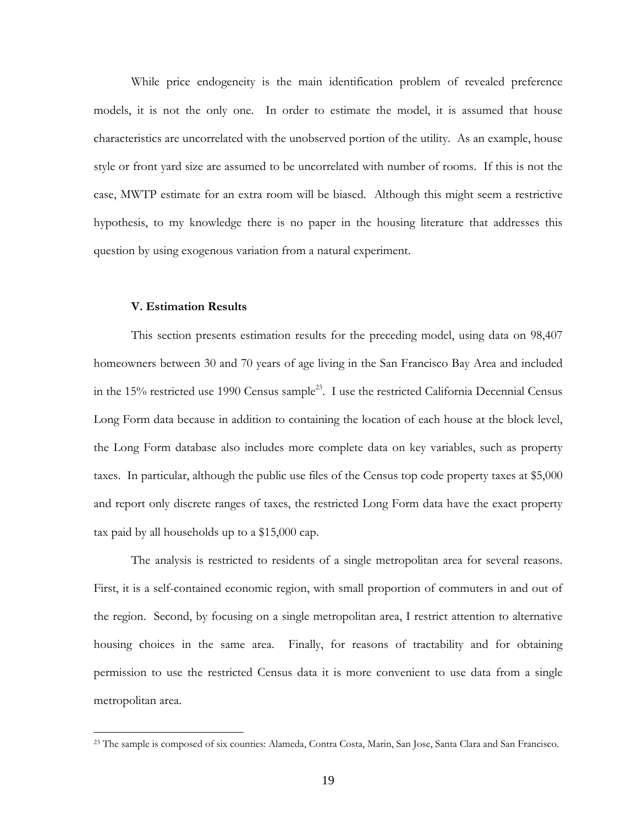While price endogeneity is the main identification problem of revealed preference models, it is not the only one. In order to estimate the model, it is assumed that house characteristics are uncorrelated with the unobserved portion of the utility. As an example, house style or front yard size are assumed to be uncorrelated with number of rooms. If this is not the case, MWTP estimate for an extra room will be biased. Although this might seem a restrictive hypothesis, to my knowledge there is no paper in the housing literature that addresses this question by using exogenous variation from a natural experiment.

#### **V. Estimation Results**

This section presents estimation results for the preceding model, using data on 98,407 homeowners between 30 and 70 years of age living in the San Francisco Bay Area and included in the 15% restricted use 1990 Census sample<sup>23</sup>. I use the restricted California Decennial Census Long Form data because in addition to containing the location of each house at the block level, the Long Form database also includes more complete data on key variables, such as property taxes. In particular, although the public use files of the Census top code property taxes at \$5,000 and report only discrete ranges of taxes, the restricted Long Form data have the exact property tax paid by all households up to a \$15,000 cap.

The analysis is restricted to residents of a single metropolitan area for several reasons. First, it is a self-contained economic region, with small proportion of commuters in and out of the region. Second, by focusing on a single metropolitan area, I restrict attention to alternative housing choices in the same area. Finally, for reasons of tractability and for obtaining permission to use the restricted Census data it is more convenient to use data from a single metropolitan area.

<sup>&</sup>lt;sup>23</sup> The sample is composed of six counties: Alameda, Contra Costa, Marin, San Jose, Santa Clara and San Francisco.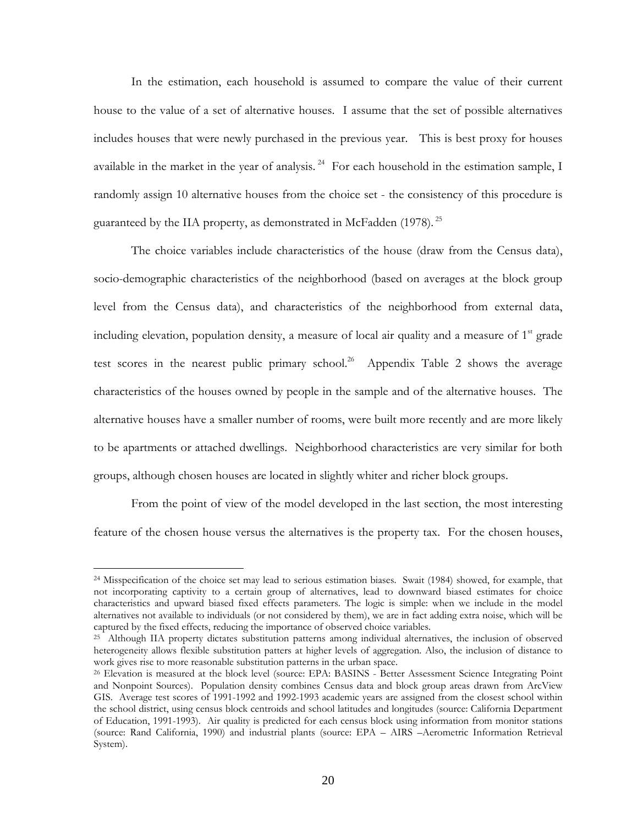In the estimation, each household is assumed to compare the value of their current house to the value of a set of alternative houses. I assume that the set of possible alternatives includes houses that were newly purchased in the previous year. This is best proxy for houses available in the market in the year of analysis.<sup>24</sup> For each household in the estimation sample, I randomly assign 10 alternative houses from the choice set - the consistency of this procedure is guaranteed by the IIA property, as demonstrated in McFadden (1978). <sup>25</sup>

The choice variables include characteristics of the house (draw from the Census data), socio-demographic characteristics of the neighborhood (based on averages at the block group level from the Census data), and characteristics of the neighborhood from external data, including elevation, population density, a measure of local air quality and a measure of  $1<sup>st</sup>$  grade test scores in the nearest public primary school.<sup>26</sup> Appendix Table 2 shows the average characteristics of the houses owned by people in the sample and of the alternative houses. The alternative houses have a smaller number of rooms, were built more recently and are more likely to be apartments or attached dwellings. Neighborhood characteristics are very similar for both groups, although chosen houses are located in slightly whiter and richer block groups.

From the point of view of the model developed in the last section, the most interesting feature of the chosen house versus the alternatives is the property tax. For the chosen houses,

<sup>&</sup>lt;sup>24</sup> Misspecification of the choice set may lead to serious estimation biases. Swait (1984) showed, for example, that not incorporating captivity to a certain group of alternatives, lead to downward biased estimates for choice characteristics and upward biased fixed effects parameters. The logic is simple: when we include in the model alternatives not available to individuals (or not considered by them), we are in fact adding extra noise, which will be

<sup>&</sup>lt;sup>25</sup> Although IIA property dictates substitution patterns among individual alternatives, the inclusion of observed heterogeneity allows flexible substitution patters at higher levels of aggregation. Also, the inclusion of distance to work gives rise to more reasonable substitution patterns in the urban space.<br><sup>26</sup> Elevation is measured at the block level (source: EPA: BASINS - Better Assessment Science Integrating Point

and Nonpoint Sources). Population density combines Census data and block group areas drawn from ArcView GIS. Average test scores of 1991-1992 and 1992-1993 academic years are assigned from the closest school within the school district, using census block centroids and school latitudes and longitudes (source: California Department of Education, 1991-1993). Air quality is predicted for each census block using information from monitor stations (source: Rand California, 1990) and industrial plants (source: EPA – AIRS –Aerometric Information Retrieval System).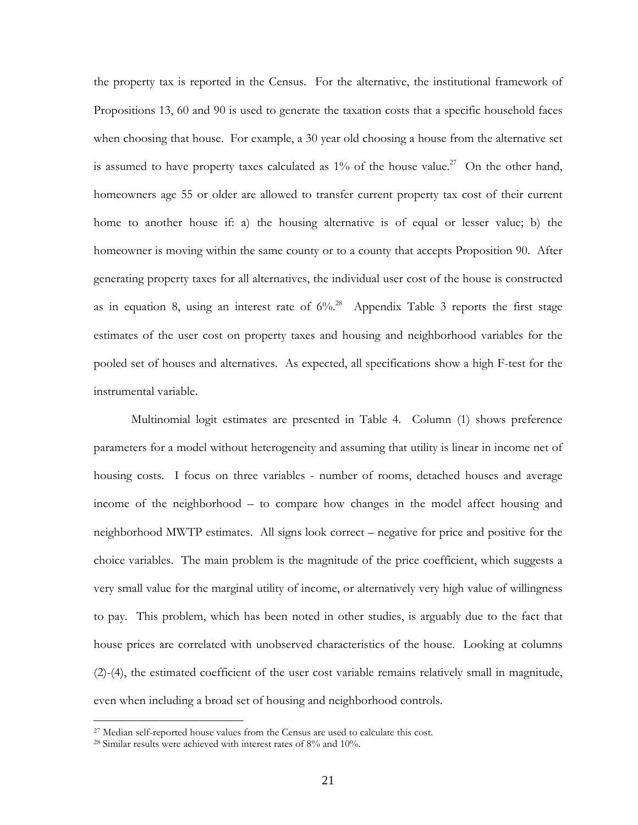the property tax is reported in the Census. For the alternative, the institutional framework of Propositions 13, 60 and 90 is used to generate the taxation costs that a specific household faces when choosing that house. For example, a 30 year old choosing a house from the alternative set is assumed to have property taxes calculated as  $1\%$  of the house value.<sup>27</sup> On the other hand, homeowners age 55 or older are allowed to transfer current property tax cost of their current home to another house if: a) the housing alternative is of equal or lesser value; b) the homeowner is moving within the same county or to a county that accepts Proposition 90. After generating property taxes for all alternatives, the individual user cost of the house is constructed as in equation 8, using an interest rate of  $6\%$ <sup>28</sup> Appendix Table 3 reports the first stage estimates of the user cost on property taxes and housing and neighborhood variables for the pooled set of houses and alternatives. As expected, all specifications show a high F-test for the instrumental variable.

Multinomial logit estimates are presented in Table 4. Column (1) shows preference parameters for a model without heterogeneity and assuming that utility is linear in income net of housing costs. I focus on three variables - number of rooms, detached houses and average income of the neighborhood – to compare how changes in the model affect housing and neighborhood MWTP estimates. All signs look correct – negative for price and positive for the choice variables. The main problem is the magnitude of the price coefficient, which suggests a very small value for the marginal utility of income, or alternatively very high value of willingness to pay. This problem, which has been noted in other studies, is arguably due to the fact that house prices are correlated with unobserved characteristics of the house. Looking at columns (2)-(4), the estimated coefficient of the user cost variable remains relatively small in magnitude, even when including a broad set of housing and neighborhood controls.

 $\overline{a}$ 

<sup>&</sup>lt;sup>27</sup> Median self-reported house values from the Census are used to calculate this cost.

<sup>28</sup> Similar results were achieved with interest rates of 8% and 10%.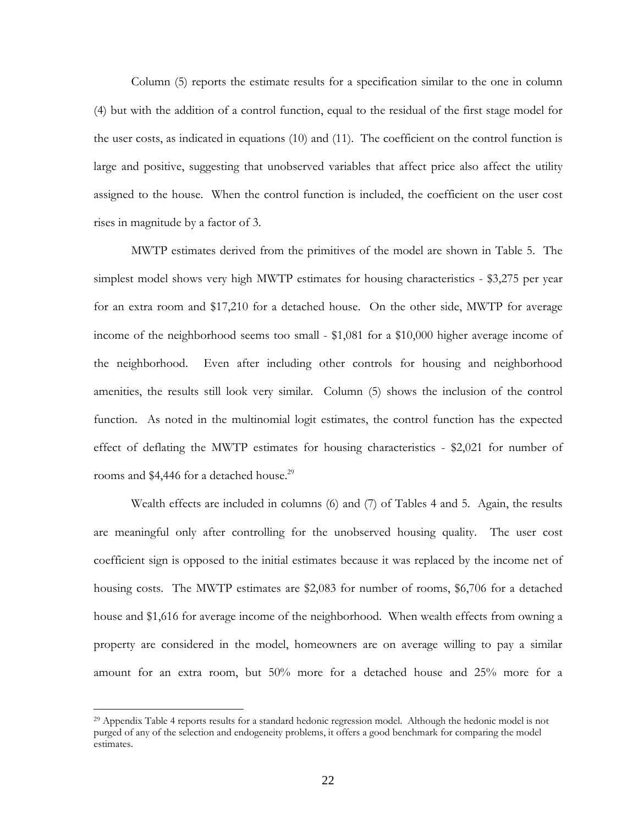Column (5) reports the estimate results for a specification similar to the one in column (4) but with the addition of a control function, equal to the residual of the first stage model for the user costs, as indicated in equations (10) and (11). The coefficient on the control function is large and positive, suggesting that unobserved variables that affect price also affect the utility assigned to the house. When the control function is included, the coefficient on the user cost rises in magnitude by a factor of 3.

MWTP estimates derived from the primitives of the model are shown in Table 5. The simplest model shows very high MWTP estimates for housing characteristics - \$3,275 per year for an extra room and \$17,210 for a detached house. On the other side, MWTP for average income of the neighborhood seems too small - \$1,081 for a \$10,000 higher average income of the neighborhood. Even after including other controls for housing and neighborhood amenities, the results still look very similar. Column (5) shows the inclusion of the control function. As noted in the multinomial logit estimates, the control function has the expected effect of deflating the MWTP estimates for housing characteristics - \$2,021 for number of rooms and \$4,446 for a detached house.<sup>29</sup>

Wealth effects are included in columns (6) and (7) of Tables 4 and 5. Again, the results are meaningful only after controlling for the unobserved housing quality. The user cost coefficient sign is opposed to the initial estimates because it was replaced by the income net of housing costs. The MWTP estimates are \$2,083 for number of rooms, \$6,706 for a detached house and \$1,616 for average income of the neighborhood. When wealth effects from owning a property are considered in the model, homeowners are on average willing to pay a similar amount for an extra room, but 50% more for a detached house and 25% more for a

l

<sup>29</sup> Appendix Table 4 reports results for a standard hedonic regression model. Although the hedonic model is not purged of any of the selection and endogeneity problems, it offers a good benchmark for comparing the model estimates.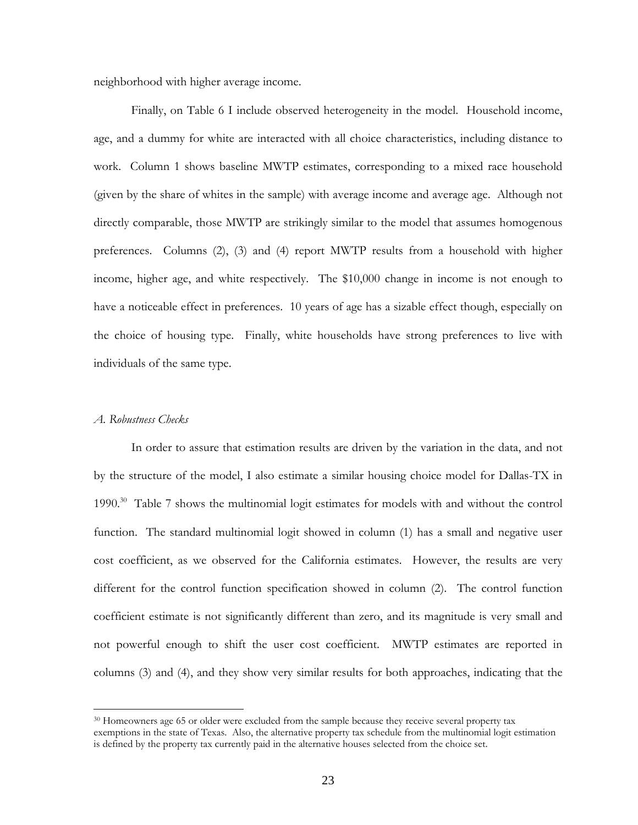neighborhood with higher average income.

Finally, on Table 6 I include observed heterogeneity in the model. Household income, age, and a dummy for white are interacted with all choice characteristics, including distance to work. Column 1 shows baseline MWTP estimates, corresponding to a mixed race household (given by the share of whites in the sample) with average income and average age. Although not directly comparable, those MWTP are strikingly similar to the model that assumes homogenous preferences. Columns (2), (3) and (4) report MWTP results from a household with higher income, higher age, and white respectively. The \$10,000 change in income is not enough to have a noticeable effect in preferences. 10 years of age has a sizable effect though, especially on the choice of housing type. Finally, white households have strong preferences to live with individuals of the same type.

## *A. Robustness Checks*

l

In order to assure that estimation results are driven by the variation in the data, and not by the structure of the model, I also estimate a similar housing choice model for Dallas-TX in 1990. $^{30}$  Table 7 shows the multinomial logit estimates for models with and without the control function. The standard multinomial logit showed in column (1) has a small and negative user cost coefficient, as we observed for the California estimates. However, the results are very different for the control function specification showed in column (2). The control function coefficient estimate is not significantly different than zero, and its magnitude is very small and not powerful enough to shift the user cost coefficient. MWTP estimates are reported in columns (3) and (4), and they show very similar results for both approaches, indicating that the

<sup>&</sup>lt;sup>30</sup> Homeowners age 65 or older were excluded from the sample because they receive several property tax exemptions in the state of Texas. Also, the alternative property tax schedule from the multinomial logit estimation is defined by the property tax currently paid in the alternative houses selected from the choice set.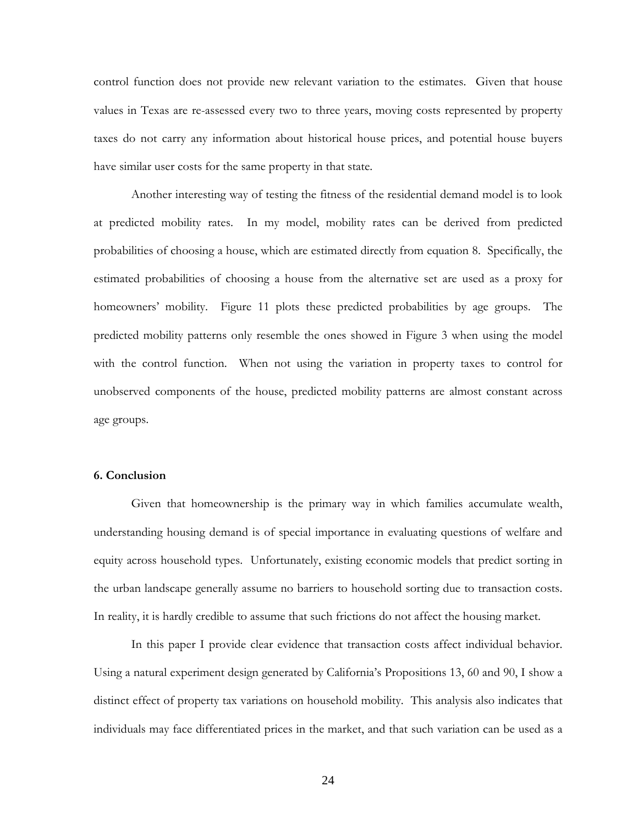control function does not provide new relevant variation to the estimates. Given that house values in Texas are re-assessed every two to three years, moving costs represented by property taxes do not carry any information about historical house prices, and potential house buyers have similar user costs for the same property in that state.

Another interesting way of testing the fitness of the residential demand model is to look at predicted mobility rates. In my model, mobility rates can be derived from predicted probabilities of choosing a house, which are estimated directly from equation 8. Specifically, the estimated probabilities of choosing a house from the alternative set are used as a proxy for homeowners' mobility. Figure 11 plots these predicted probabilities by age groups. The predicted mobility patterns only resemble the ones showed in Figure 3 when using the model with the control function. When not using the variation in property taxes to control for unobserved components of the house, predicted mobility patterns are almost constant across age groups.

### **6. Conclusion**

Given that homeownership is the primary way in which families accumulate wealth, understanding housing demand is of special importance in evaluating questions of welfare and equity across household types. Unfortunately, existing economic models that predict sorting in the urban landscape generally assume no barriers to household sorting due to transaction costs. In reality, it is hardly credible to assume that such frictions do not affect the housing market.

In this paper I provide clear evidence that transaction costs affect individual behavior. Using a natural experiment design generated by California's Propositions 13, 60 and 90, I show a distinct effect of property tax variations on household mobility. This analysis also indicates that individuals may face differentiated prices in the market, and that such variation can be used as a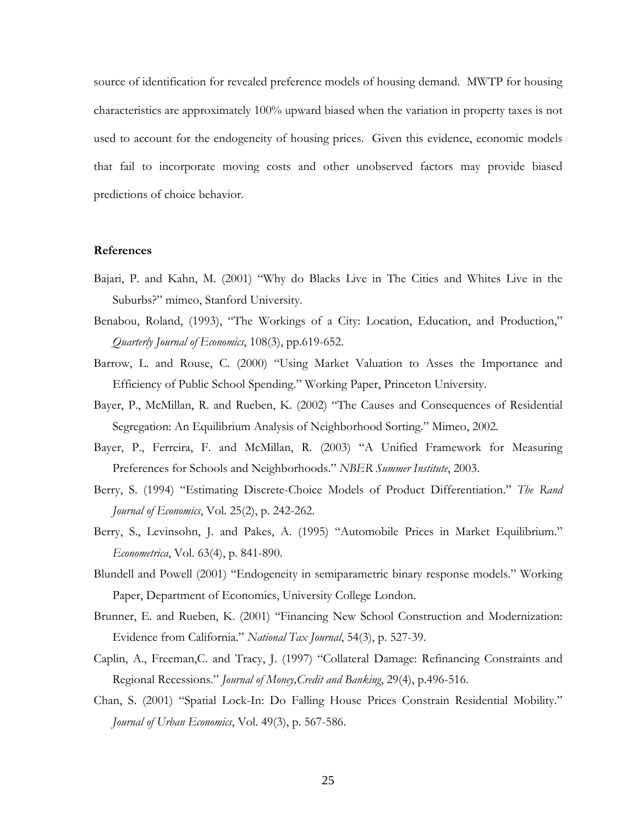source of identification for revealed preference models of housing demand. MWTP for housing characteristics are approximately 100% upward biased when the variation in property taxes is not used to account for the endogeneity of housing prices. Given this evidence, economic models that fail to incorporate moving costs and other unobserved factors may provide biased predictions of choice behavior.

#### **References**

- Bajari, P. and Kahn, M. (2001) "Why do Blacks Live in The Cities and Whites Live in the Suburbs?" mimeo, Stanford University.
- Benabou, Roland, (1993), "The Workings of a City: Location, Education, and Production," *Quarterly Journal of Economics*, 108(3), pp.619-652.
- Barrow, L. and Rouse, C. (2000) "Using Market Valuation to Asses the Importance and Efficiency of Public School Spending." Working Paper, Princeton University.
- Bayer, P., McMillan, R. and Rueben, K. (2002) "The Causes and Consequences of Residential Segregation: An Equilibrium Analysis of Neighborhood Sorting." Mimeo, 2002.
- Bayer, P., Ferreira, F. and McMillan, R. (2003) "A Unified Framework for Measuring Preferences for Schools and Neighborhoods." *NBER Summer Institute*, 2003.
- Berry, S. (1994) "Estimating Discrete-Choice Models of Product Differentiation." *The Rand Journal of Economics*, Vol. 25(2), p. 242-262.
- Berry, S., Levinsohn, J. and Pakes, A. (1995) "Automobile Prices in Market Equilibrium." *Econometrica*, Vol. 63(4), p. 841-890.
- Blundell and Powell (2001) "Endogeneity in semiparametric binary response models." Working Paper, Department of Economics, University College London.
- Brunner, E. and Rueben, K. (2001) "Financing New School Construction and Modernization: Evidence from California." *National Tax Journal*, 54(3), p. 527-39.
- Caplin, A., Freeman,C. and Tracy, J. (1997) "Collateral Damage: Refinancing Constraints and Regional Recessions." *Journal of Money,Credit and Banking*, 29(4), p.496-516.
- Chan, S. (2001) "Spatial Lock-In: Do Falling House Prices Constrain Residential Mobility." *Journal of Urban Economics*, Vol. 49(3), p. 567-586.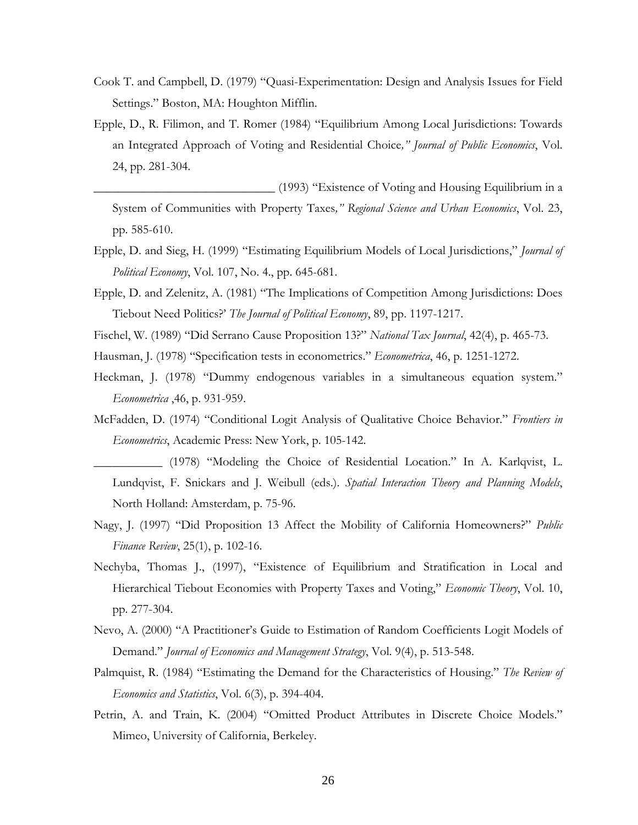- Cook T. and Campbell, D. (1979) "Quasi-Experimentation: Design and Analysis Issues for Field Settings." Boston, MA: Houghton Mifflin.
- Epple, D., R. Filimon, and T. Romer (1984) "Equilibrium Among Local Jurisdictions: Towards an Integrated Approach of Voting and Residential Choice*," Journal of Public Economics*, Vol. 24, pp. 281-304.

\_\_\_\_\_\_\_\_\_\_\_\_\_\_\_\_\_\_\_\_\_\_\_\_\_\_\_\_\_ (1993) "Existence of Voting and Housing Equilibrium in a System of Communities with Property Taxes*," Regional Science and Urban Economics*, Vol. 23, pp. 585-610.

- Epple, D. and Sieg, H. (1999) "Estimating Equilibrium Models of Local Jurisdictions," *Journal of Political Economy*, Vol. 107, No. 4., pp. 645-681.
- Epple, D. and Zelenitz, A. (1981) "The Implications of Competition Among Jurisdictions: Does Tiebout Need Politics?' *The Journal of Political Economy*, 89, pp. 1197-1217.
- Fischel, W. (1989) "Did Serrano Cause Proposition 13?" *National Tax Journal*, 42(4), p. 465-73.
- Hausman, J. (1978) "Specification tests in econometrics." *Econometrica*, 46, p. 1251-1272.
- Heckman, J. (1978) "Dummy endogenous variables in a simultaneous equation system." *Econometrica* ,46, p. 931-959.
- McFadden, D. (1974) "Conditional Logit Analysis of Qualitative Choice Behavior." *Frontiers in Econometrics*, Academic Press: New York, p. 105-142.
- \_\_\_\_\_\_\_\_\_\_\_ (1978) "Modeling the Choice of Residential Location." In A. Karlqvist, L. Lundqvist, F. Snickars and J. Weibull (eds.). *Spatial Interaction Theory and Planning Models*, North Holland: Amsterdam, p. 75-96.
- Nagy, J. (1997) "Did Proposition 13 Affect the Mobility of California Homeowners?" *Public Finance Review*, 25(1), p. 102-16.
- Nechyba, Thomas J., (1997), "Existence of Equilibrium and Stratification in Local and Hierarchical Tiebout Economies with Property Taxes and Voting," *Economic Theory*, Vol. 10, pp. 277-304.
- Nevo, A. (2000) "A Practitioner's Guide to Estimation of Random Coefficients Logit Models of Demand." *Journal of Economics and Management Strategy*, Vol. 9(4), p. 513-548.
- Palmquist, R. (1984) "Estimating the Demand for the Characteristics of Housing." *The Review of Economics and Statistics*, Vol. 6(3), p. 394-404.
- Petrin, A. and Train, K. (2004) "Omitted Product Attributes in Discrete Choice Models." Mimeo, University of California, Berkeley.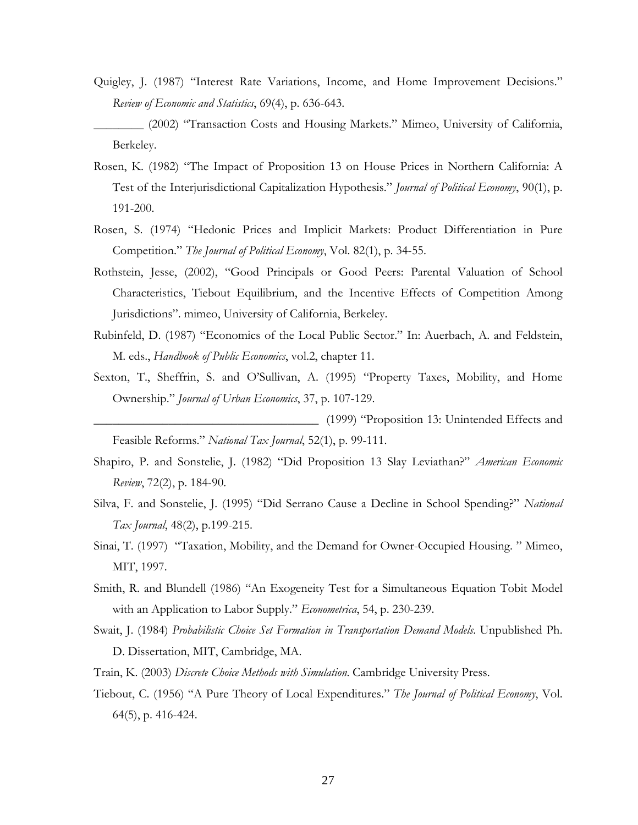Quigley, J. (1987) "Interest Rate Variations, Income, and Home Improvement Decisions." *Review of Economic and Statistics*, 69(4), p. 636-643.

\_\_\_\_\_\_\_\_ (2002) "Transaction Costs and Housing Markets." Mimeo, University of California, Berkeley.

- Rosen, K. (1982) "The Impact of Proposition 13 on House Prices in Northern California: A Test of the Interjurisdictional Capitalization Hypothesis." *Journal of Political Economy*, 90(1), p. 191-200.
- Rosen, S. (1974) "Hedonic Prices and Implicit Markets: Product Differentiation in Pure Competition." *The Journal of Political Economy*, Vol. 82(1), p. 34-55.
- Rothstein, Jesse, (2002), "Good Principals or Good Peers: Parental Valuation of School Characteristics, Tiebout Equilibrium, and the Incentive Effects of Competition Among Jurisdictions". mimeo, University of California, Berkeley.
- Rubinfeld, D. (1987) "Economics of the Local Public Sector." In: Auerbach, A. and Feldstein, M. eds., *Handbook of Public Economics*, vol.2, chapter 11.
- Sexton, T., Sheffrin, S. and O'Sullivan, A. (1995) "Property Taxes, Mobility, and Home Ownership." *Journal of Urban Economics*, 37, p. 107-129.

\_\_\_\_\_\_\_\_\_\_\_\_\_\_\_\_\_\_\_\_\_\_\_\_\_\_\_\_\_\_\_\_\_\_\_\_ (1999) "Proposition 13: Unintended Effects and Feasible Reforms." *National Tax Journal*, 52(1), p. 99-111.

- Shapiro, P. and Sonstelie, J. (1982) "Did Proposition 13 Slay Leviathan?" *American Economic Review*, 72(2), p. 184-90.
- Silva, F. and Sonstelie, J. (1995) "Did Serrano Cause a Decline in School Spending?" *National Tax Journal*, 48(2), p.199-215.
- Sinai, T. (1997) "Taxation, Mobility, and the Demand for Owner-Occupied Housing. " Mimeo, MIT, 1997.
- Smith, R. and Blundell (1986) "An Exogeneity Test for a Simultaneous Equation Tobit Model with an Application to Labor Supply." *Econometrica*, 54, p. 230-239.
- Swait, J. (1984) *Probabilistic Choice Set Formation in Transportation Demand Models*. Unpublished Ph. D. Dissertation, MIT, Cambridge, MA.
- Train, K. (2003) *Discrete Choice Methods with Simulation*. Cambridge University Press.
- Tiebout, C. (1956) "A Pure Theory of Local Expenditures." *The Journal of Political Economy*, Vol. 64(5), p. 416-424.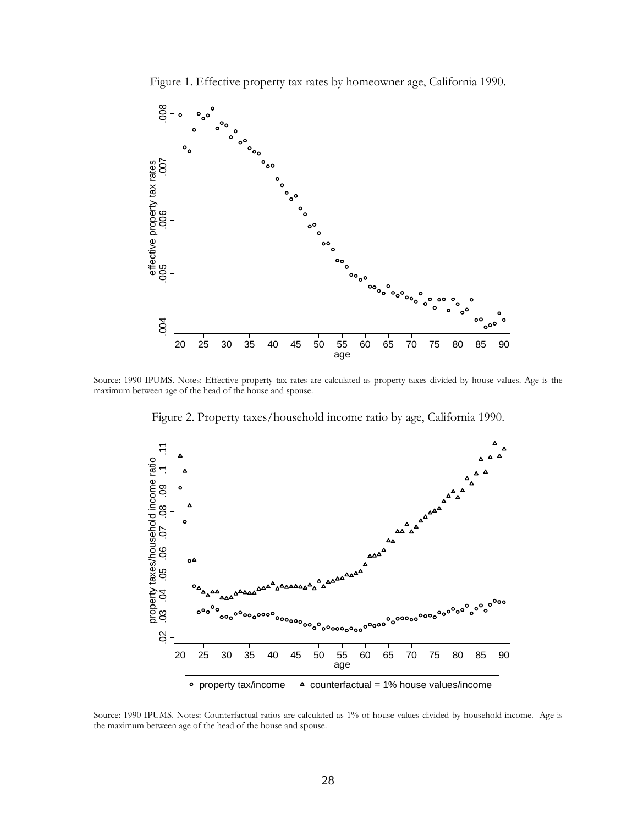Figure 1. Effective property tax rates by homeowner age, California 1990.



Source: 1990 IPUMS. Notes: Effective property tax rates are calculated as property taxes divided by house values. Age is the maximum between age of the head of the house and spouse.

Figure 2. Property taxes/household income ratio by age, California 1990.



Source: 1990 IPUMS. Notes: Counterfactual ratios are calculated as 1% of house values divided by household income. Age is the maximum between age of the head of the house and spouse.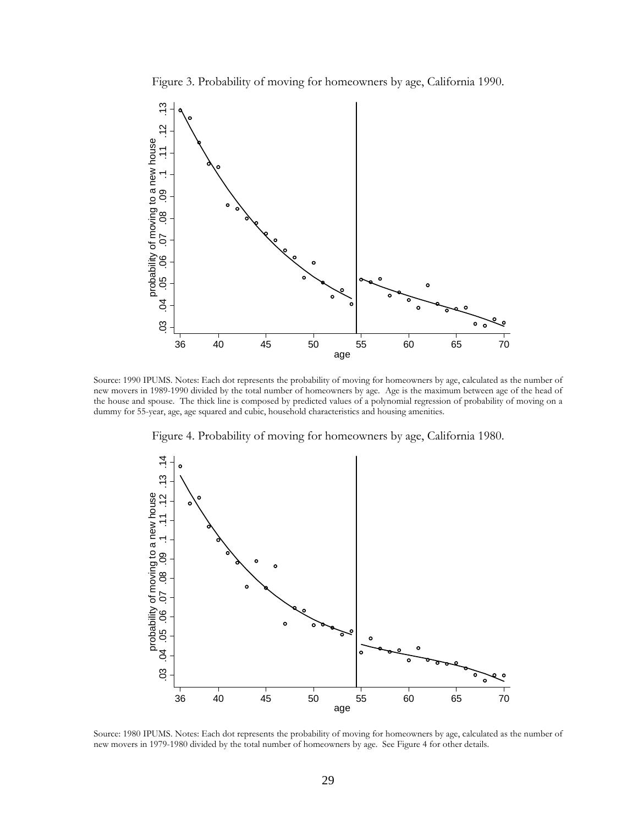Figure 3. Probability of moving for homeowners by age, California 1990.



Source: 1990 IPUMS. Notes: Each dot represents the probability of moving for homeowners by age, calculated as the number of new movers in 1989-1990 divided by the total number of homeowners by age. Age is the maximum between age of the head of the house and spouse. The thick line is composed by predicted values of a polynomial regression of probability of moving on a dummy for 55-year, age, age squared and cubic, household characteristics and housing amenities.

Figure 4. Probability of moving for homeowners by age, California 1980.



Source: 1980 IPUMS. Notes: Each dot represents the probability of moving for homeowners by age, calculated as the number of new movers in 1979-1980 divided by the total number of homeowners by age. See Figure 4 for other details.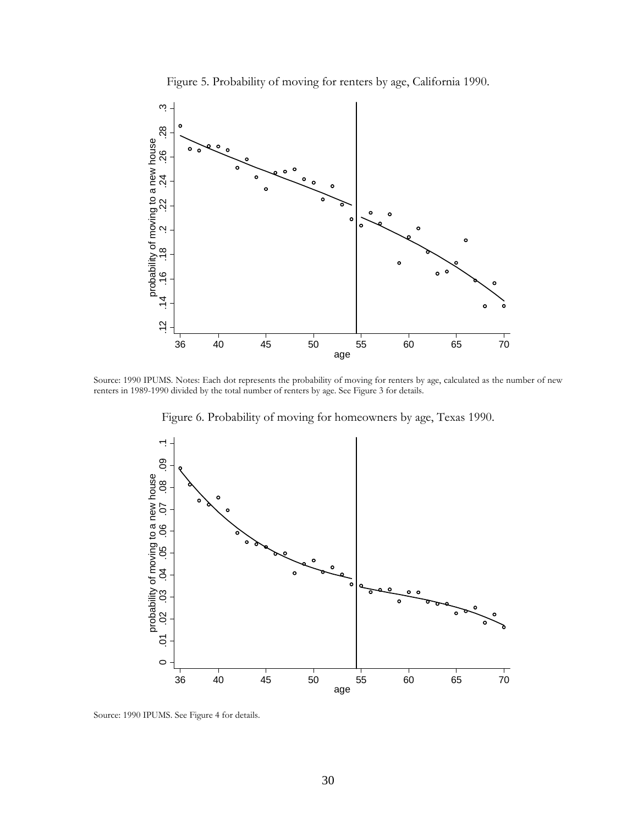



Source: 1990 IPUMS. Notes: Each dot represents the probability of moving for renters by age, calculated as the number of new renters in 1989-1990 divided by the total number of renters by age. See Figure 3 for details.

Figure 6. Probability of moving for homeowners by age, Texas 1990.



Source: 1990 IPUMS. See Figure 4 for details.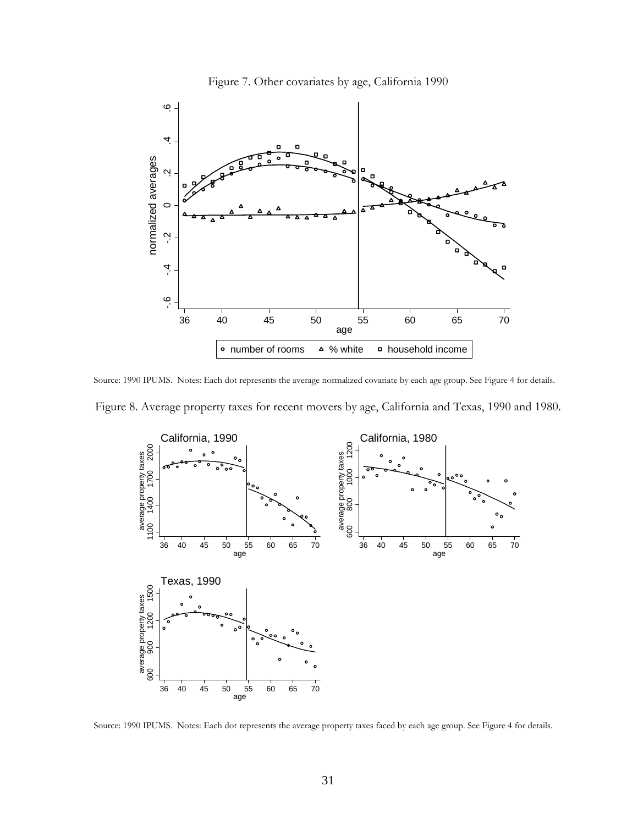

Figure 7. Other covariates by age, California 1990

Source: 1990 IPUMS. Notes: Each dot represents the average normalized covariate by each age group. See Figure 4 for details.





Source: 1990 IPUMS. Notes: Each dot represents the average property taxes faced by each age group. See Figure 4 for details.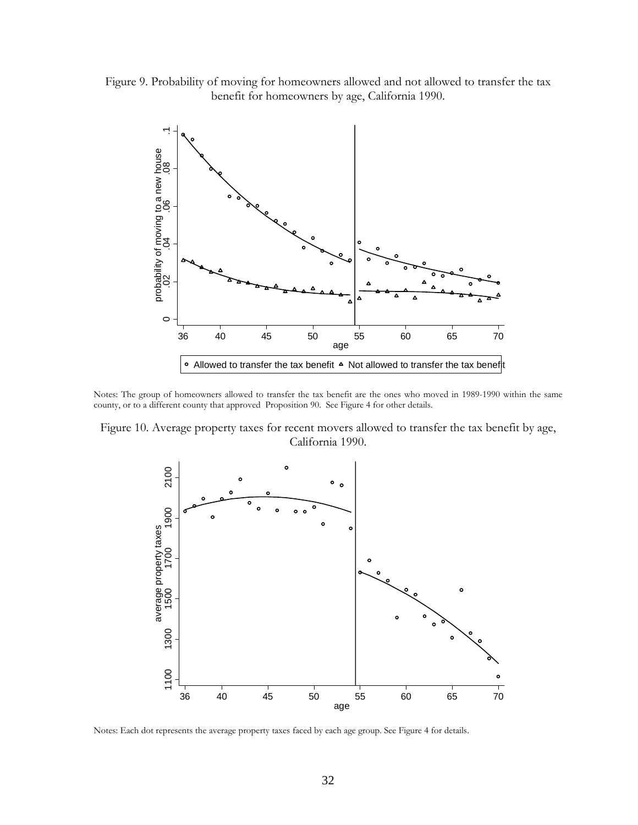



Notes: The group of homeowners allowed to transfer the tax benefit are the ones who moved in 1989-1990 within the same county, or to a different county that approved Proposition 90. See Figure 4 for other details.

Figure 10. Average property taxes for recent movers allowed to transfer the tax benefit by age, California 1990.



Notes: Each dot represents the average property taxes faced by each age group. See Figure 4 for details.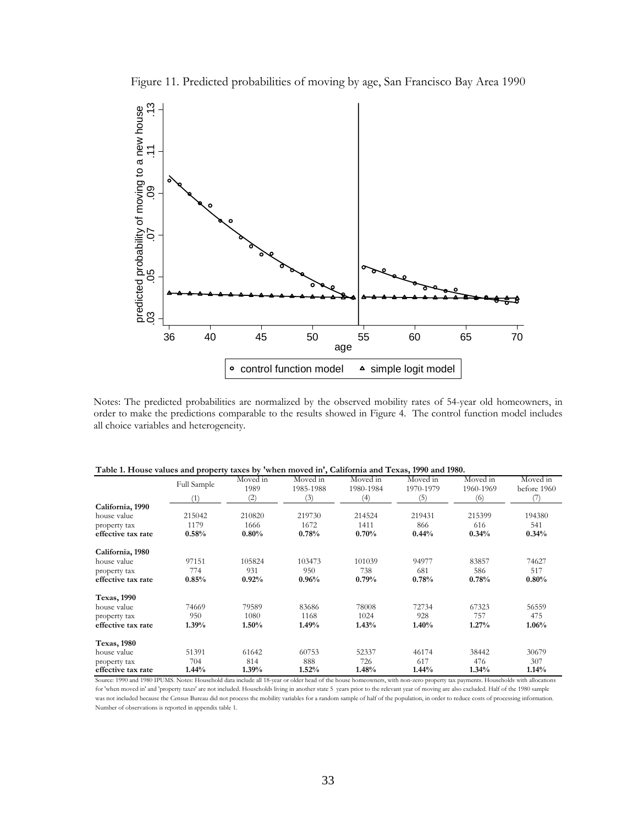Figure 11. Predicted probabilities of moving by age, San Francisco Bay Area 1990



Notes: The predicted probabilities are normalized by the observed mobility rates of 54-year old homeowners, in order to make the predictions comparable to the results showed in Figure 4. The control function model includes all choice variables and heterogeneity.

| Table 1. House values and property taxes by 'when moved in', California and Texas, 1990 and 1980. |             |                  |                       |                       |                       |                       |                         |  |  |
|---------------------------------------------------------------------------------------------------|-------------|------------------|-----------------------|-----------------------|-----------------------|-----------------------|-------------------------|--|--|
|                                                                                                   | Full Sample | Moved in<br>1989 | Moved in<br>1985-1988 | Moved in<br>1980-1984 | Moved in<br>1970-1979 | Moved in<br>1960-1969 | Moved in<br>before 1960 |  |  |
|                                                                                                   | (1)         | (2)              | (3)                   | (4)                   | (5)                   | (6)                   | (7)                     |  |  |
| California, 1990                                                                                  |             |                  |                       |                       |                       |                       |                         |  |  |
| house value                                                                                       | 215042      | 210820           | 219730                | 214524                | 219431                | 215399                | 194380                  |  |  |
| property tax                                                                                      | 1179        | 1666             | 1672                  | 1411                  | 866                   | 616                   | 541                     |  |  |
| effective tax rate                                                                                | 0.58%       | $0.80\%$         | 0.78%                 | 0.70%                 | 0.44%                 | 0.34%                 | 0.34%                   |  |  |
| California, 1980                                                                                  |             |                  |                       |                       |                       |                       |                         |  |  |
| house value                                                                                       | 97151       | 105824           | 103473                | 101039                | 94977                 | 83857                 | 74627                   |  |  |
| property tax                                                                                      | 774         | 931              | 950                   | 738                   | 681                   | 586                   | 517                     |  |  |
| effective tax rate                                                                                | 0.85%       | 0.92%            | 0.96%                 | 0.79%                 | 0.78%                 | 0.78%                 | 0.80%                   |  |  |
| <b>Texas, 1990</b>                                                                                |             |                  |                       |                       |                       |                       |                         |  |  |
| house value                                                                                       | 74669       | 79589            | 83686                 | 78008                 | 72734                 | 67323                 | 56559                   |  |  |
| property tax                                                                                      | 950         | 1080             | 1168                  | 1024                  | 928                   | 757                   | 475                     |  |  |
| effective tax rate                                                                                | 1.39%       | 1.50%            | 1.49%                 | 1.43%                 | 1.40%                 | 1.27%                 | 1.06%                   |  |  |
| <b>Texas, 1980</b>                                                                                |             |                  |                       |                       |                       |                       |                         |  |  |
| house value                                                                                       | 51391       | 61642            | 60753                 | 52337                 | 46174                 | 38442                 | 30679                   |  |  |
| property tax                                                                                      | 704         | 814              | 888                   | 726                   | 617                   | 476                   | 307                     |  |  |
| effective tax rate                                                                                | 1.44%       | 1.39%            | 1.52%                 | 1.48%                 | 1.44%                 | $1.34\%$              | 1.14%                   |  |  |

|  |  |  |  |  | Table 1. House values and property taxes by 'when moved in', California and Texas, 1990 and 1980. |
|--|--|--|--|--|---------------------------------------------------------------------------------------------------|
|--|--|--|--|--|---------------------------------------------------------------------------------------------------|

Source: 1990 and 1980 IPUMS. Notes: Household data include all 18-year or older head of the house homeowners, with non-zero property tax payments. Households with allocations for 'when moved in' and 'property taxes' are not included. Households living in another state 5 years prior to the relevant year of moving are also excluded. Half of the 1980 sample was not included because the Census Bureau did not process the mobility variables for a random sample of half of the population, in order to reduce costs of processing information Number of observations is reported in appendix table 1.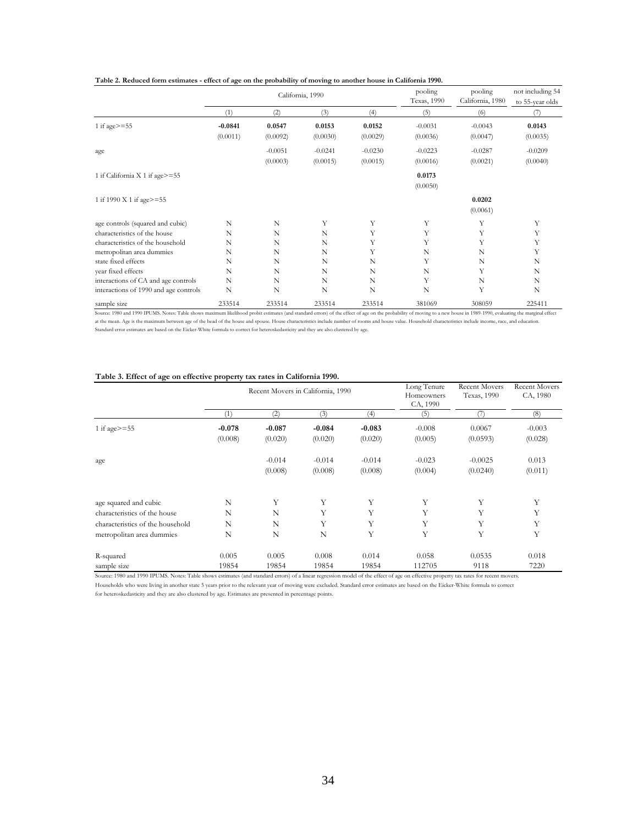|                                       | California, 1990 |           |           |           | pooling<br>Texas, 1990 | pooling<br>California, 1980 | not including 54<br>to 55-year olds |
|---------------------------------------|------------------|-----------|-----------|-----------|------------------------|-----------------------------|-------------------------------------|
|                                       | (1)              | (2)       | (3)       | (4)       | (5)                    | (6)                         | (7)                                 |
| 1 if age $>=$ 55                      | $-0.0841$        | 0.0547    | 0.0153    | 0.0152    | $-0.0031$              | $-0.0043$                   | 0.0143                              |
|                                       | (0.0011)         | (0.0092)  | (0.0030)  | (0.0029)  | (0.0036)               | (0.0047)                    | (0.0035)                            |
| age                                   |                  | $-0.0051$ | $-0.0241$ | $-0.0230$ | $-0.0223$              | $-0.0287$                   | $-0.0209$                           |
|                                       |                  | (0.0003)  | (0.0015)  | (0.0015)  | (0.0016)               | (0.0021)                    | (0.0040)                            |
| 1 if California X 1 if age>=55        |                  |           |           |           | 0.0173                 |                             |                                     |
|                                       |                  |           |           |           | (0.0050)               |                             |                                     |
| 1 if 1990 X 1 if age>=55              |                  |           |           |           |                        | 0.0202                      |                                     |
|                                       |                  |           |           |           |                        | (0.0061)                    |                                     |
| age controls (squared and cubic)      | N                | N         | Y         | Y         | Y                      | Υ                           | Y                                   |
| characteristics of the house          | N                | N         | N         | Y         | Y                      | Y                           | Y                                   |
| characteristics of the household      | N                | N         | N         | Y         | Y                      | Υ                           | Y                                   |
| metropolitan area dummies             | N                | N         | N         | Y         | N                      | N                           | Y                                   |
| state fixed effects                   | N                | N         | N         | N         | Υ                      | N                           | N                                   |
| year fixed effects                    | N                | N         | N         | N         | N                      | Υ                           | N                                   |
| interactions of CA and age controls   | N                | N         | N         | N         | Y                      | N                           | N                                   |
| interactions of 1990 and age controls | N                | N         | N         | N         | N                      | Y                           | N                                   |
| sample size                           | 233514           | 233514    | 233514    | 233514    | 381069                 | 308059                      | 225411                              |

Source: 1980 and 1990 IPUMS. Notes: Table shows maximum likelihood probit estimates (and standard errors) of the effect of age on the probability of moving to a new house in 1989-1990, evaluating the marginal effect at the mean. Age is the maximum between age of the head of the house and spouse. House eharacteristics include number of rooms and house value. Household characteristics include income, race, and education.<br>Standard error

#### **Table 3. Effect of age on effective property tax rates in California 1990.**

|                                  | Recent Movers in California, 1990 |             |          |          | Long Tenure<br>Homeowners<br>CA, 1990 | <b>Recent Movers</b><br>Texas, 1990 | <b>Recent Movers</b><br>CA, 1980 |
|----------------------------------|-----------------------------------|-------------|----------|----------|---------------------------------------|-------------------------------------|----------------------------------|
|                                  | (1)                               | (2)         | (3)      | (4)      | (5)                                   | $\frac{1}{2}$                       | (8)                              |
| 1 if age $>=$ 55                 | $-0.078$                          | $-0.087$    | $-0.084$ | $-0.083$ | $-0.008$                              | 0.0067                              | $-0.003$                         |
|                                  | (0.008)                           | (0.020)     | (0.020)  | (0.020)  | (0.005)                               | (0.0593)                            | (0.028)                          |
| age                              |                                   | $-0.014$    | $-0.014$ | $-0.014$ | $-0.023$                              | $-0.0025$                           | 0.013                            |
|                                  |                                   | (0.008)     | (0.008)  | (0.008)  | (0.004)                               | (0.0240)                            | (0.011)                          |
| age squared and cubic            | N                                 | Y           | Y        | Υ        | Y                                     | Y                                   | Y                                |
| characteristics of the house     | N                                 | N           | Y        | Y        | Y                                     | Y                                   | Υ                                |
| characteristics of the household | N                                 | N           | Y        | Υ        | Y                                     | Y                                   | Y                                |
| metropolitan area dummies        | N                                 | $\mathbf N$ | N        | Υ        | Y                                     | Y                                   | Y                                |
| R-squared                        | 0.005                             | 0.005       | 0.008    | 0.014    | 0.058                                 | 0.0535                              | 0.018                            |
| sample size                      | 19854                             | 19854       | 19854    | 19854    | 112705                                | 9118                                | 7220                             |

Source: 1980 and 1990 IPUMS. Notes: Table shows estimates (and standard errors) of a linear regression model of the effect of age on effective property tax rates for recent movers. Households who were living in another state 5 years prior to the relevant year of moving were excluded. Standard error estimates are based on the Eicker-White formula to correct

for heteroskedasticity and they are also clustered by age. Estimates are presented in percentage points.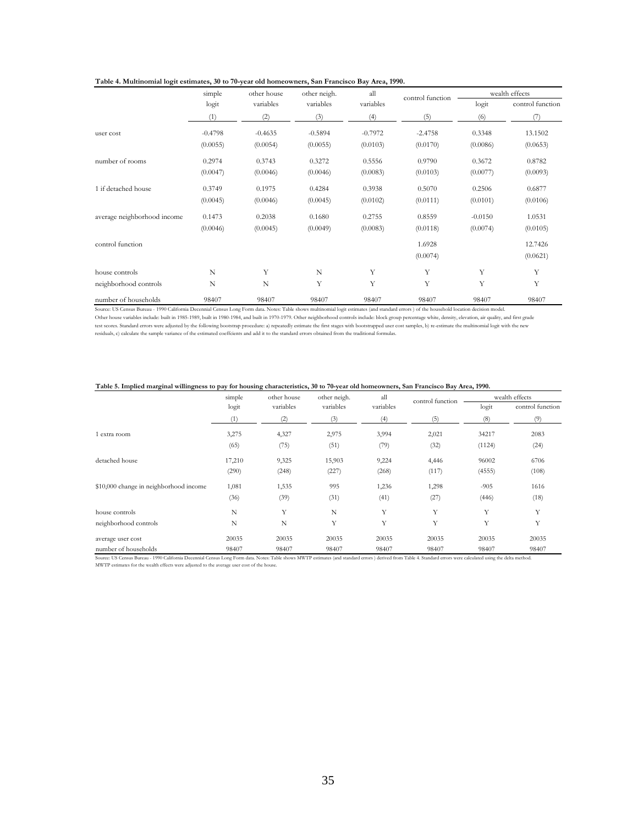| Table 4. Multinomial logit estimates, 30 to 70-year old homeowners, San Francisco Bay Area, 1990. |  |  |
|---------------------------------------------------------------------------------------------------|--|--|
|                                                                                                   |  |  |

|                             | simple    | all<br>other house<br>other neigh. |           | control function | wealth effects |           |                  |
|-----------------------------|-----------|------------------------------------|-----------|------------------|----------------|-----------|------------------|
|                             | logit     | variables                          | variables | variables        |                | logit     | control function |
|                             | (1)       | (2)                                | (3)       | (4)              | (5)            | (6)       | (7)              |
| user cost                   | $-0.4798$ | $-0.4635$                          | $-0.5894$ | $-0.7972$        | $-2.4758$      | 0.3348    | 13.1502          |
|                             | (0.0055)  | (0.0054)                           | (0.0055)  | (0.0103)         | (0.0170)       | (0.0086)  | (0.0653)         |
| number of rooms             | 0.2974    | 0.3743                             | 0.3272    | 0.5556           | 0.9790         | 0.3672    | 0.8782           |
|                             | (0.0047)  | (0.0046)                           | (0.0046)  | (0.0083)         | (0.0103)       | (0.0077)  | (0.0093)         |
| 1 if detached house         | 0.3749    | 0.1975                             | 0.4284    | 0.3938           | 0.5070         | 0.2506    | 0.6877           |
|                             | (0.0045)  | (0.0046)                           | (0.0045)  | (0.0102)         | (0.0111)       | (0.0101)  | (0.0106)         |
| average neighborhood income | 0.1473    | 0.2038                             | 0.1680    | 0.2755           | 0.8559         | $-0.0150$ | 1.0531           |
|                             | (0.0046)  | (0.0045)                           | (0.0049)  | (0.0083)         | (0.0118)       | (0.0074)  | (0.0105)         |
| control function            |           |                                    |           |                  | 1.6928         |           | 12.7426          |
|                             |           |                                    |           |                  | (0.0074)       |           | (0.0621)         |
| house controls              | N         | Y                                  | N         | Y                | Y              | Y         | Y                |
| neighborhood controls       | N         | N                                  | Y         | Y                | Y              | Y         | Y                |
| number of households        | 98407     | 98407                              | 98407     | 98407            | 98407          | 98407     | 98407            |

Source: US Census Bureau - 1990 California Decennial Census Long Form data. Notes: Table shows multinomial logit estimates (and standard errors ) of the household location decision model. Other house variables include: built in 1985-1989, built in 1980-1984, and built in 1970-1979. Other neighborhood controls include: block group percentage white, density, elevation, air quality, and first grade<br>test scores

#### **Table 5. Implied marginal willingness to pay for housing characteristics, 30 to 70-year old homeowners, San Francisco Bay Area, 1990.**

|                                        | simple | other house | other neigh. | all       | control function | wealth effects |                  |
|----------------------------------------|--------|-------------|--------------|-----------|------------------|----------------|------------------|
|                                        | logit  | variables   | variables    | variables |                  | logit          | control function |
|                                        | (1)    | (2)         | (3)          | (4)       | (5)              | (8)            | (9)              |
| 1 extra room                           | 3,275  | 4,327       | 2,975        | 3,994     | 2,021            | 34217          | 2083             |
|                                        | (65)   | (75)        | (51)         | (79)      | (32)             | (1124)         | (24)             |
| detached house                         | 17,210 | 9,325       | 15,903       | 9,224     | 4,446            | 96002          | 6706             |
|                                        | (290)  | (248)       | (227)        | (268)     | (117)            | (4555)         | (108)            |
| \$10,000 change in neighborhood income | 1,081  | 1,535       | 995          | 1,236     | 1,298            | $-905$         | 1616             |
|                                        | (36)   | (39)        | (31)         | (41)      | (27)             | (446)          | (18)             |
| house controls                         | N      | Y           | N            | Y         | Y                | Y              | Y                |
| neighborhood controls                  | N      | N           | Y            | Y         | Y                | Y              | Y                |
| average user cost                      | 20035  | 20035       | 20035        | 20035     | 20035            | 20035          | 20035            |
| number of households                   | 98407  | 98407       | 98407        | 98407     | 98407            | 98407          | 98407            |

Source: US Census Bureau - 1990 California Decennial Census Long Form data. Notes: Table shows MWTP estimates (and standard errors ) derived from Table 4. Standard errors were calculated using the delta method.

MWTP estimates for the wealth effects were adjusted to the average user cost of the house.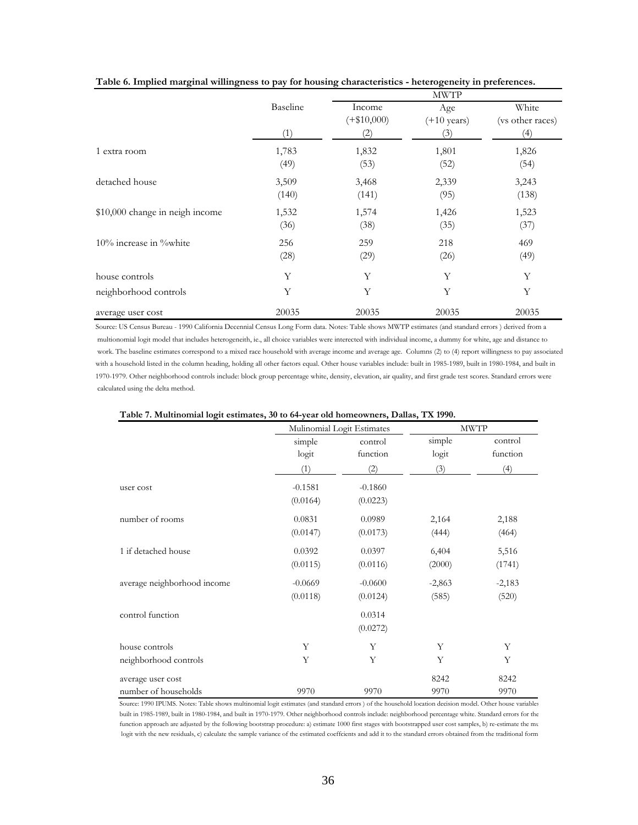|                                 |                 | <b>MWTP</b>                                  |                                     |                                  |  |  |
|---------------------------------|-----------------|----------------------------------------------|-------------------------------------|----------------------------------|--|--|
|                                 | Baseline<br>(1) | Income<br>$(+\$10,000)$<br>$\left( 2\right)$ | Age<br>$(+10 \text{ years})$<br>(3) | White<br>(vs other races)<br>(4) |  |  |
| 1 extra room                    | 1,783<br>(49)   | 1,832<br>(53)                                | 1,801<br>(52)                       | 1,826<br>(54)                    |  |  |
| detached house                  | 3,509<br>(140)  | 3,468<br>(141)                               | 2,339<br>(95)                       | 3,243<br>(138)                   |  |  |
| \$10,000 change in neigh income | 1,532<br>(36)   | 1,574<br>(38)                                | 1,426<br>(35)                       | 1,523<br>(37)                    |  |  |
| $10\%$ increase in $\%$ white   | 256<br>(28)     | 259<br>(29)                                  | 218<br>(26)                         | 469<br>(49)                      |  |  |
| house controls                  | Υ               | Υ                                            | Υ                                   | Y                                |  |  |
| neighborhood controls           | Y               | Y                                            | Y                                   | Y                                |  |  |
| average user cost               | 20035           | 20035                                        | 20035                               | 20035                            |  |  |

|  |  |  | Table 6. Implied marginal willingness to pay for housing characteristics - heterogeneity in preferences. |
|--|--|--|----------------------------------------------------------------------------------------------------------|
|  |  |  |                                                                                                          |

Source: US Census Bureau - 1990 California Decennial Census Long Form data. Notes: Table shows MWTP estimates (and standard errors ) derived from a multionomial logit model that includes heterogeneith, ie., all choice variables were interected with individual income, a dummy for white, age and distance to work. The baseline estimates correspond to a mixed race household with average income and average age. Columns (2) to (4) report willingness to pay associated with a household listed in the column heading, holding all other factors equal. Other house variables include: built in 1985-1989, built in 1980-1984, and built in 1970-1979. Other neighborhood controls include: block group percentage white, density, elevation, air quality, and first grade test scores. Standard errors were calculated using the delta method.

|                             |                 | Mulinomial Logit Estimates |                 | <b>MWTP</b>         |
|-----------------------------|-----------------|----------------------------|-----------------|---------------------|
|                             | simple<br>logit | control<br>function        | simple<br>logit | control<br>function |
|                             | (1)             | (2)                        | (3)             | (4)                 |
| user cost                   | $-0.1581$       | $-0.1860$                  |                 |                     |
|                             | (0.0164)        | (0.0223)                   |                 |                     |
| number of rooms             | 0.0831          | 0.0989                     | 2,164           | 2,188               |
|                             | (0.0147)        | (0.0173)                   | (444)           | (464)               |
| 1 if detached house         | 0.0392          | 0.0397                     | 6,404           | 5,516               |
|                             | (0.0115)        | (0.0116)                   | (2000)          | (1741)              |
| average neighborhood income | $-0.0669$       | $-0.0600$                  | $-2,863$        | $-2,183$            |
|                             | (0.0118)        | (0.0124)                   | (585)           | (520)               |
| control function            |                 | 0.0314                     |                 |                     |
|                             |                 | (0.0272)                   |                 |                     |
| house controls              | Y               | Υ                          | Y               | Y                   |
| neighborhood controls       | Y               | Y                          | Y               | Y                   |
| average user cost           |                 |                            | 8242            | 8242                |
| number of households        | 9970            | 9970                       | 9970            | 9970                |

Source: 1990 IPUMS. Notes: Table shows multinomial logit estimates (and standard errors ) of the household location decision model. Other house variables built in 1985-1989, built in 1980-1984, and built in 1970-1979. Other neighborhood controls include: neighborhood percentage white. Standard errors for the function approach are adjusted by the following bootstrap procedure: a) estimate 1000 first stages with bootstrapped user cost samples, b) re-estimate the mu logit with the new residuals, c) calculate the sample variance of the estimated coeffcients and add it to the standard errors obtained from the traditional form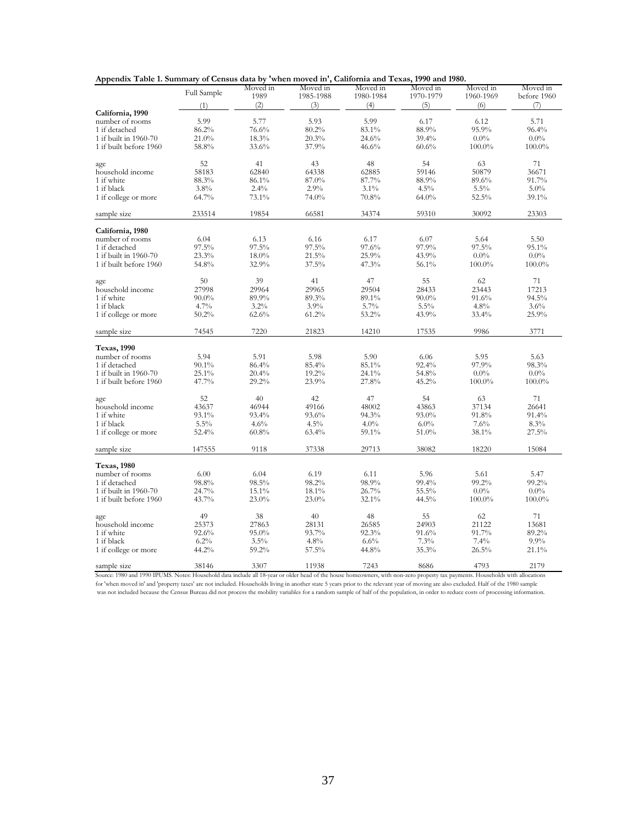| Appendix Table 1. Summary of Census data by 'when moved in', California and Texas, 1990 and 1980. |  |  |  |  |
|---------------------------------------------------------------------------------------------------|--|--|--|--|
|---------------------------------------------------------------------------------------------------|--|--|--|--|

| Moved in<br>Moved in<br>Moved in<br>Moved in<br>Moved in<br>Full Sample             | Moved in    |
|-------------------------------------------------------------------------------------|-------------|
| 1989<br>1970-1979<br>1985-1988<br>1980-1984<br>1960-1969                            | before 1960 |
| (2)<br>(3)<br>(4)<br>(5)<br>(6)<br>(1)                                              | (7)         |
| California, 1990<br>5.99<br>5.77<br>5.93<br>5.99<br>6.12<br>number of rooms<br>6.17 | 5.71        |
| 95.9%<br>76.6%<br>80.2%<br>83.1%<br>88.9%<br>1 if detached<br>86.2%                 | 96.4%       |
| 1 if built in 1960-70<br>18.3%<br>20.3%<br>24.6%<br>39.4%<br>$0.0\%$<br>21.0%       | $0.0\%$     |
| 37.9%<br>1 if built before 1960<br>58.8%<br>33.6%<br>46.6%<br>60.6%<br>100.0%       | 100.0%      |
|                                                                                     |             |
| 52<br>41<br>54<br>43<br>48<br>63<br>age                                             | 71          |
| 58183<br>62840<br>64338<br>50879<br>household income<br>62885<br>59146              | 36671       |
| 1 if white<br>87.7%<br>88.3%<br>86.1%<br>87.0%<br>88.9%<br>89.6%                    | 91.7%       |
| 2.9%<br>1 if black<br>3.8%<br>2.4%<br>$3.1\%$<br>4.5%<br>5.5%                       | $5.0\%$     |
| 1 if college or more<br>64.7%<br>73.1%<br>74.0%<br>70.8%<br>$64.0\%$<br>52.5%       | 39.1%       |
| 233514<br>19854<br>66581<br>34374<br>59310<br>30092<br>sample size                  | 23303       |
| California, 1980                                                                    |             |
| 6.04<br>6.13<br>6.16<br>6.17<br>6.07<br>5.64<br>number of rooms                     | 5.50        |
| 97.5%<br>$97.5\%$<br>97.6%<br>97.9%<br>97.5%<br>97.5%<br>1 if detached              | 95.1%       |
| 43.9%<br>1 if built in 1960-70<br>23.3%<br>18.0%<br>21.5%<br>25.9%<br>$0.0\%$       | $0.0\%$     |
| 1 if built before 1960<br>54.8%<br>32.9%<br>37.5%<br>47.3%<br>56.1%<br>100.0%       | 100.0%      |
| 50<br>39<br>41<br>47<br>55<br>62                                                    | 71          |
| age<br>27998<br>household income<br>29964<br>29965<br>29504<br>28433<br>23443       | 17213       |
| 1 if white<br>89.3%<br>91.6%<br>$90.0\%$<br>89.9%<br>89.1%<br>$90.0\%$              | 94.5%       |
| 1 if black<br>3.2%<br>3.9%<br>5.7%<br>4.8%<br>4.7%<br>5.5%                          | 3.6%        |
| 1 if college or more<br>50.2%<br>62.6%<br>61.2%<br>53.2%<br>43.9%<br>33.4%          | 25.9%       |
|                                                                                     |             |
| 74545<br>7220<br>14210<br>9986<br>21823<br>17535<br>sample size                     | 3771        |
| <b>Texas, 1990</b>                                                                  |             |
| 5.91<br>5.98<br>number of rooms<br>5.94<br>5.90<br>6.06<br>5.95                     | 5.63        |
| 85.1%<br>1 if detached<br>90.1%<br>86.4%<br>85.4%<br>92.4%<br>97.9%                 | 98.3%       |
| 1 if built in 1960-70<br>25.1%<br>20.4%<br>19.2%<br>24.1%<br>54.8%<br>$0.0\%$       | $0.0\%$     |
| 1 if built before 1960<br>47.7%<br>29.2%<br>23.9%<br>27.8%<br>45.2%<br>$100.0\%$    | 100.0%      |
| 52<br>42<br>40<br>47<br>54<br>63<br>age                                             | 71          |
| 43637<br>49166<br>37134<br>household income<br>46944<br>48002<br>43863              | 26641       |
| 1 if white<br>93.1%<br>93.4%<br>93.6%<br>94.3%<br>93.0%<br>91.8%                    | 91.4%       |
| 7.6%<br>1 if black<br>$5.5\%$<br>4.6%<br>4.5%<br>$4.0\%$<br>$6.0\%$                 | 8.3%        |
| 52.4%<br>63.4%<br>59.1%<br>51.0%<br>38.1%<br>1 if college or more<br>60.8%          | 27.5%       |
| 147555<br>9118<br>37338<br>29713<br>38082<br>18220<br>sample size                   | 15084       |
| <b>Texas, 1980</b>                                                                  |             |
| number of rooms<br>6.00<br>6.04<br>6.19<br>6.11<br>5.96<br>5.61                     | 5.47        |
| 98.9%<br>98.5%<br>98.2%<br>99.4%<br>99.2%<br>1 if detached<br>98.8%                 | 99.2%       |
| 1 if built in 1960-70<br>24.7%<br>15.1%<br>18.1%<br>26.7%<br>55.5%<br>$0.0\%$       | $0.0\%$     |
| 1 if built before 1960<br>43.7%<br>23.0%<br>23.0%<br>32.1%<br>44.5%<br>100.0%       | 100.0%      |
| 49<br>38<br>48<br>62<br>40<br>55<br>age                                             | 71          |
| 21122<br>household income<br>25373<br>27863<br>26585<br>24903<br>28131              | 13681       |
| 1 if white<br>93.7%<br>92.3%<br>91.7%<br>92.6%<br>95.0%<br>91.6%                    | 89.2%       |
| 6.2%<br>6.6%<br>7.4%<br>1 if black<br>3.5%<br>4.8%<br>7.3%                          | $9.9\%$     |
| 59.2%<br>57.5%<br>44.8%<br>35.3%<br>26.5%<br>1 if college or more<br>44.2%          | 21.1%       |
| 4793<br>38146<br>3307<br>11938<br>7243<br>8686<br>sample size                       | 2179        |

Source: 1980 and 1990 IPUMS. Notes: Household data include all 18-year or older head of the house homeowners, with non-zero property tax payments. Households with allocations for 'when moved in' and 'property taxes' are not included. Households living in another state 5 years prior to the relevant year of moving are also excluded. Half of the 1980 sample was not included because the Census Bureau did not process the mobility variables for a random sample of half of the population, in order to reduce costs of processing information.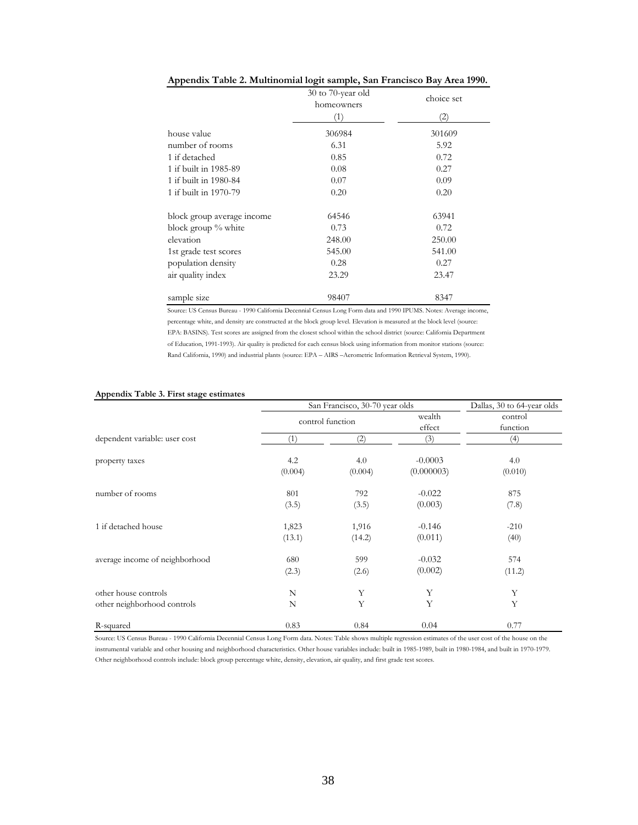|                            | 30 to 70-year old<br>homeowners | choice set |  |
|----------------------------|---------------------------------|------------|--|
|                            | (1)                             | (2)        |  |
| house value                | 306984                          | 301609     |  |
| number of rooms            | 6.31                            | 5.92       |  |
| 1 if detached              | 0.85                            | 0.72       |  |
| 1 if built in 1985-89      | 0.08                            | 0.27       |  |
| 1 if built in 1980-84      | 0.07                            | 0.09       |  |
| 1 if built in 1970-79      | 0.20                            | 0.20       |  |
| block group average income | 64546                           | 63941      |  |
| block group % white        | 0.73                            | 0.72       |  |
| elevation                  | 248.00                          | 250.00     |  |
| 1st grade test scores      | 545.00                          | 541.00     |  |
| population density         | 0.28                            | 0.27       |  |
| air quality index          | 23.29                           | 23.47      |  |
| sample size                | 98407                           | 8347       |  |

#### **Appendix Table 2. Multinomial logit sample, San Francisco Bay Area 1990.**

Source: US Census Bureau - 1990 California Decennial Census Long Form data and 1990 IPUMS. Notes: Average income, percentage white, and density are constructed at the block group level. Elevation is measured at the block level (source: EPA: BASINS). Test scores are assigned from the closest school within the school district (source: California Department of Education, 1991-1993). Air quality is predicted for each census block using information from monitor stations (source: Rand California, 1990) and industrial plants (source: EPA – AIRS –Aerometric Information Retrieval System, 1990).

|                                | San Francisco, 30-70 year olds | Dallas, 30 to 64-year olds |                  |                     |  |
|--------------------------------|--------------------------------|----------------------------|------------------|---------------------|--|
|                                | control function               |                            | wealth<br>effect | control<br>function |  |
| dependent variable: user cost  | (1)                            | (2)                        | (3)              | (4)                 |  |
| property taxes                 | 4.2                            | 4.0                        | $-0.0003$        | 4.0                 |  |
|                                | (0.004)                        | (0.004)                    | (0.000003)       | (0.010)             |  |
| number of rooms                | 801                            | 792                        | $-0.022$         | 875                 |  |
|                                | (3.5)                          | (3.5)                      | (0.003)          | (7.8)               |  |
| 1 if detached house            | 1,823                          | 1,916                      | $-0.146$         | $-210$              |  |
|                                | (13.1)                         | (14.2)                     | (0.011)          | (40)                |  |
| average income of neighborhood | 680                            | 599                        | $-0.032$         | 574                 |  |
|                                | (2.3)                          | (2.6)                      | (0.002)          | (11.2)              |  |
| other house controls           | N                              | Y                          | Υ                | Υ                   |  |
| other neighborhood controls    | N                              | Y                          | Y                | Y                   |  |
| R-squared                      | 0.83                           | 0.84                       | 0.04             | 0.77                |  |

#### **Appendix Table 3. First stage estimates**

Source: US Census Bureau - 1990 California Decennial Census Long Form data. Notes: Table shows multiple regression estimates of the user cost of the house on the instrumental variable and other housing and neighborhood characteristics. Other house variables include: built in 1985-1989, built in 1980-1984, and built in 1970-1979. Other neighborhood controls include: block group percentage white, density, elevation, air quality, and first grade test scores.